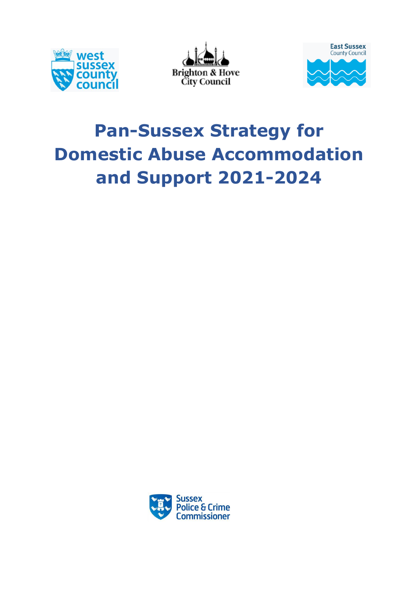





# **Pan-Sussex Strategy for Domestic Abuse Accommodation and Support 2021-2024**

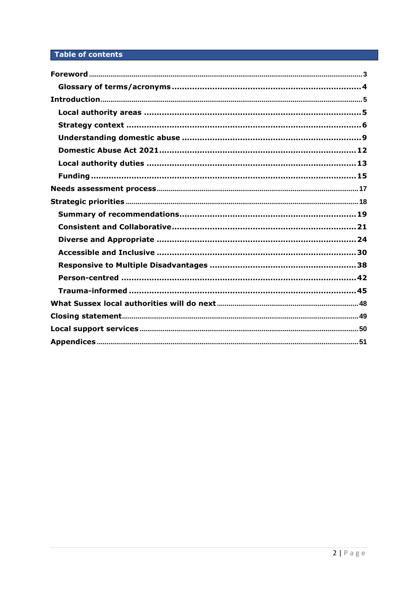# Table of contents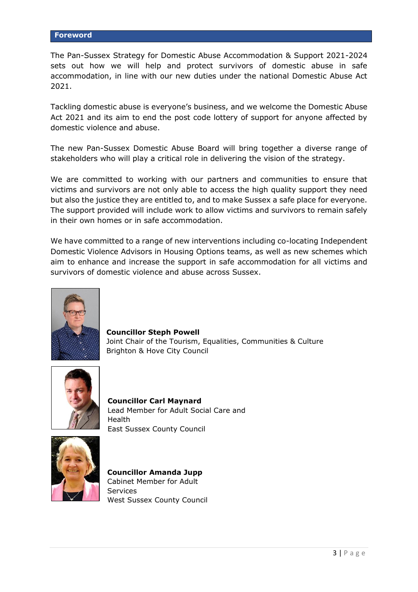<span id="page-2-0"></span>The Pan-Sussex Strategy for Domestic Abuse Accommodation & Support 2021-2024 sets out how we will help and protect survivors of domestic abuse in safe accommodation, in line with our new duties under the national Domestic Abuse Act 2021.

Tackling domestic abuse is everyone's business, and we welcome the Domestic Abuse Act 2021 and its aim to end the post code lottery of support for anyone affected by domestic violence and abuse.

The new Pan-Sussex Domestic Abuse Board will bring together a diverse range of stakeholders who will play a critical role in delivering the vision of the strategy.

We are committed to working with our partners and communities to ensure that victims and survivors are not only able to access the high quality support they need but also the justice they are entitled to, and to make Sussex a safe place for everyone. The support provided will include work to allow victims and survivors to remain safely in their own homes or in safe accommodation.

We have committed to a range of new interventions including co-locating Independent Domestic Violence Advisors in Housing Options teams, as well as new schemes which aim to enhance and increase the support in safe accommodation for all victims and survivors of domestic violence and abuse across Sussex.



**Councillor Steph Powell** Joint Chair of the Tourism, Equalities, Communities & Culture Brighton & Hove City Council



**Councillor Carl Maynard** Lead Member for Adult Social Care and **Health** East Sussex County Council



**Councillor Amanda Jupp** Cabinet Member for Adult Services West Sussex County Council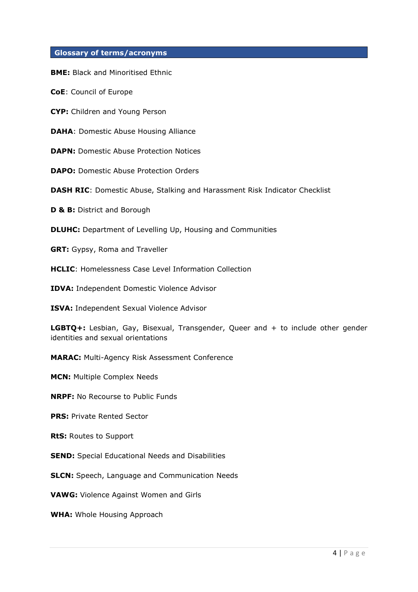## <span id="page-3-0"></span>**Glossary of terms/acronyms**

**BME:** Black and Minoritised Ethnic

**CoE**: Council of Europe

**CYP:** Children and Young Person

**DAHA**: Domestic Abuse Housing Alliance

**DAPN:** Domestic Abuse Protection Notices

**DAPO:** Domestic Abuse Protection Orders

**DASH RIC**: Domestic Abuse, Stalking and Harassment Risk Indicator Checklist

**D & B: District and Borough** 

**DLUHC:** Department of Levelling Up, Housing and Communities

**GRT:** Gypsy, Roma and Traveller

**HCLIC**: Homelessness Case Level Information Collection

**IDVA:** Independent Domestic Violence Advisor

**ISVA:** Independent Sexual Violence Advisor

**LGBTQ+:** Lesbian, Gay, Bisexual, Transgender, Queer and + to include other gender identities and sexual orientations

**MARAC:** Multi-Agency Risk Assessment Conference

**MCN:** Multiple Complex Needs

**NRPF:** No Recourse to Public Funds

**PRS: Private Rented Sector** 

**RtS:** Routes to Support

**SEND:** Special Educational Needs and Disabilities

**SLCN:** Speech, Language and Communication Needs

**VAWG:** Violence Against Women and Girls

**WHA:** Whole Housing Approach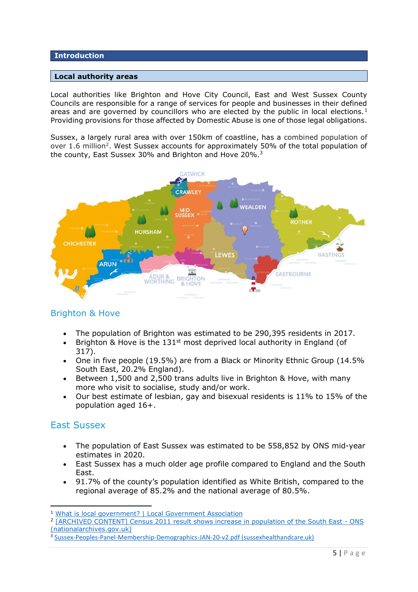# <span id="page-4-0"></span>**Introduction**

#### <span id="page-4-1"></span>**Local authority areas**

Local authorities like Brighton and Hove City Council, East and West Sussex County Councils are responsible for a range of services for people and businesses in their defined areas and are governed by councillors who are elected by the public in local elections.<sup>1</sup> Providing provisions for those affected by Domestic Abuse is one of those legal obligations.

Sussex, a largely rural area with over 150km of coastline, has a combined population of over 1.6 million<sup>2</sup>. West Sussex accounts for approximately 50% of the total population of the county, East Sussex 30% and Brighton and Hove 20%.<sup>3</sup>



# Brighton & Hove

- The population of Brighton was estimated to be 290,395 residents in 2017.
- Brighton & Hove is the 131<sup>st</sup> most deprived local authority in England (of 317).
- One in five people (19.5%) are from a Black or Minority Ethnic Group (14.5% South East, 20.2% England).
- Between 1,500 and 2,500 trans adults live in Brighton & Hove, with many more who visit to socialise, study and/or work.
- Our best estimate of lesbian, gay and bisexual residents is 11% to 15% of the population aged 16+.

# East Sussex

- The population of East Sussex was estimated to be 558,852 by ONS mid-year estimates in 2020.
- East Sussex has a much older age profile compared to England and the South East.
- 91.7% of the county's population identified as White British, compared to the regional average of 85.2% and the national average of 80.5%.

<sup>1</sup> [What is local government? | Local Government Association](https://www.local.gov.uk/about/what-local-government)

<sup>2</sup> [\[ARCHIVED CONTENT\] Census 2011 result shows increase in population of the South East -](https://webarchive.nationalarchives.gov.uk/ukgwa/20160108133404/http:/www.ons.gov.uk/ons/rel/mro/news-release/census-2011-result-shows-increase-in-population-of-the-south-east/censussoutheastnr0712.html) ONS [\(nationalarchives.gov.uk\)](https://webarchive.nationalarchives.gov.uk/ukgwa/20160108133404/http:/www.ons.gov.uk/ons/rel/mro/news-release/census-2011-result-shows-increase-in-population-of-the-south-east/censussoutheastnr0712.html)

<sup>&</sup>lt;sup>3</sup> [Sussex-Peoples-Panel-Membership-Demographics-JAN-20-v2.pdf \(sussexhealthandcare.uk\)](https://www.sussexhealthandcare.uk/wp-content/uploads/2020/03/Sussex-Peoples-Panel-Membership-Demographics-JAN-20-v2.pdf)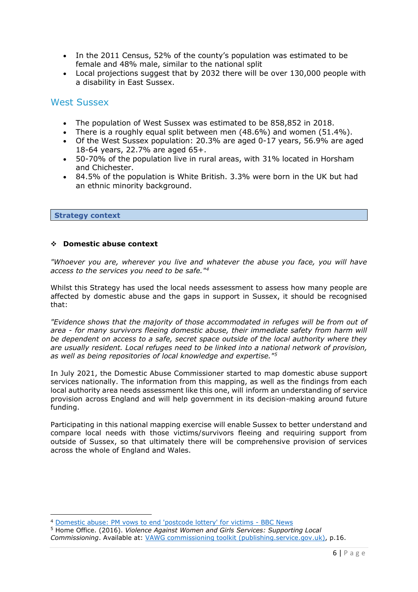- In the 2011 Census, 52% of the county's population was estimated to be female and 48% male, similar to the national split
- Local projections suggest that by 2032 there will be over 130,000 people with a disability in East Sussex.

# West Sussex

- The population of West Sussex was estimated to be 858,852 in 2018.
- There is a roughly equal split between men  $(48.6\%)$  and women  $(51.4\%)$ .
- Of the West Sussex population: 20.3% are aged 0-17 years, 56.9% are aged 18-64 years, 22.7% are aged 65+.
- 50-70% of the population live in rural areas, with 31% located in Horsham and Chichester.
- 84.5% of the population is White British. 3.3% were born in the UK but had an ethnic minority background.

#### <span id="page-5-0"></span>**Strategy context**

#### ❖ **Domestic abuse context**

*"Whoever you are, wherever you live and whatever the abuse you face, you will have access to the services you need to be safe."<sup>4</sup>*

Whilst this Strategy has used the local needs assessment to assess how many people are affected by domestic abuse and the gaps in support in Sussex, it should be recognised that:

*"Evidence shows that the majority of those accommodated in refuges will be from out of area - for many survivors fleeing domestic abuse, their immediate safety from harm will be dependent on access to a safe, secret space outside of the local authority where they are usually resident. Local refuges need to be linked into a national network of provision, as well as being repositories of local knowledge and expertise."<sup>5</sup>*

In July 2021, the Domestic Abuse Commissioner started to map domestic abuse support services nationally. The information from this mapping, as well as the findings from each local authority area needs assessment like this one, will inform an understanding of service provision across England and will help government in its decision-making around future funding.

Participating in this national mapping exercise will enable Sussex to better understand and compare local needs with those victims/survivors fleeing and requiring support from outside of Sussex, so that ultimately there will be comprehensive provision of services across the whole of England and Wales.

<sup>4</sup> [Domestic abuse: PM vows to end 'postcode lottery' for victims -](https://www.bbc.co.uk/news/uk-48249330) BBC News

<sup>5</sup> Home Office. (2016). *Violence Against Women and Girls Services: Supporting Local Commissioning*. Available at: [VAWG commissioning toolkit \(publishing.service.gov.uk\),](https://assets.publishing.service.gov.uk/government/uploads/system/uploads/attachment_data/file/576238/VAWG_Commissioning_Toolkit.pdf) p.16.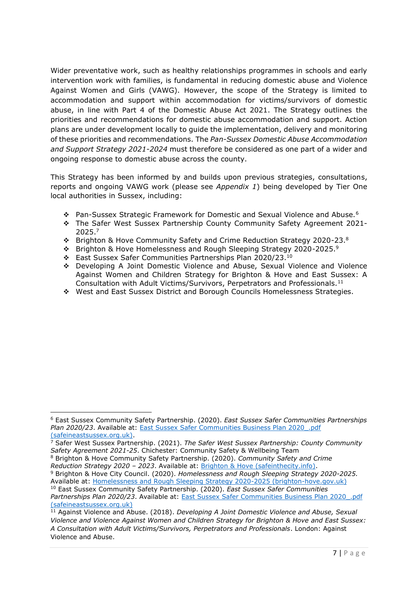Wider preventative work, such as healthy relationships programmes in schools and early intervention work with families, is fundamental in reducing domestic abuse and Violence Against Women and Girls (VAWG). However, the scope of the Strategy is limited to accommodation and support within accommodation for victims/survivors of domestic abuse, in line with Part 4 of the Domestic Abuse Act 2021. The Strategy outlines the priorities and recommendations for domestic abuse accommodation and support. Action plans are under development locally to guide the implementation, delivery and monitoring of these priorities and recommendations. The *Pan-Sussex Domestic Abuse Accommodation and Support Strategy 2021-2024* must therefore be considered as one part of a wider and ongoing response to domestic abuse across the county.

This Strategy has been informed by and builds upon previous strategies, consultations, reports and ongoing VAWG work (please see *Appendix 1*) being developed by Tier One local authorities in Sussex, including:

- ❖ Pan-Sussex Strategic Framework for Domestic and Sexual Violence and Abuse.<sup>6</sup>
- ❖ The Safer West Sussex Partnership County Community Safety Agreement 2021- 2025. 7
- ❖ Brighton & Hove Community Safety and Crime Reduction Strategy 2020-23.<sup>8</sup>
- $\div$  Brighton & Hove Homelessness and Rough Sleeping Strategy 2020-2025.<sup>9</sup>
- ❖ East Sussex Safer Communities Partnerships Plan 2020/23.<sup>10</sup>
- ❖ Developing A Joint Domestic Violence and Abuse, Sexual Violence and Violence Against Women and Children Strategy for Brighton & Hove and East Sussex: A Consultation with Adult Victims/Survivors, Perpetrators and Professionals.<sup>11</sup>
- ❖ West and East Sussex District and Borough Councils Homelessness Strategies.

*Reduction Strategy 2020 – 2023*. Available at: [Brighton & Hove \(safeinthecity.info\).](https://www.safeinthecity.info/sites/safeinthecity.info/files/sitc/Brighton%20%26%20Hove%20Community%20Safety%20and%20Crime%20Reduction%20Strategy%202020-2023.pdf)

<sup>6</sup> East Sussex Community Safety Partnership. (2020). *East Sussex Safer Communities Partnerships Plan 2020/23*. Available at: [East Sussex Safer Communities Business Plan 2020\\_.pdf](https://www.safeineastsussex.org.uk/content/files/file/East%20Sussex%20Safer%20Communities%20Business%20Plan%202020_.pdf)  [\(safeineastsussex.org.uk\).](https://www.safeineastsussex.org.uk/content/files/file/East%20Sussex%20Safer%20Communities%20Business%20Plan%202020_.pdf)

<sup>7</sup> Safer West Sussex Partnership. (2021). *The Safer West Sussex Partnership: County Community Safety Agreement 2021-25*. Chichester: Community Safety & Wellbeing Team <sup>8</sup> Brighton & Hove Community Safety Partnership. (2020). *Community Safety and Crime* 

<sup>9</sup> Brighton & Hove City Council. (2020). *Homelessness and Rough Sleeping Strategy 2020-2025.*  Available at: [Homelessness and Rough Sleeping Strategy 2020-2025 \(brighton-hove.gov.uk\)](https://www.brighton-hove.gov.uk/homelessness-and-rough-sleeping-strategy-2020-2025#introduction) <sup>10</sup> East Sussex Community Safety Partnership. (2020). *East Sussex Safer Communities* 

*Partnerships Plan 2020/23*. Available at: [East Sussex Safer Communities Business Plan 2020\\_.pdf](https://www.safeineastsussex.org.uk/content/files/file/East%20Sussex%20Safer%20Communities%20Business%20Plan%202020_.pdf)  [\(safeineastsussex.org.uk\)](https://www.safeineastsussex.org.uk/content/files/file/East%20Sussex%20Safer%20Communities%20Business%20Plan%202020_.pdf)

<sup>11</sup> Against Violence and Abuse. (2018). *Developing A Joint Domestic Violence and Abuse, Sexual Violence and Violence Against Women and Children Strategy for Brighton & Hove and East Sussex: A Consultation with Adult Victims/Survivors, Perpetrators and Professionals*. London: Against Violence and Abuse.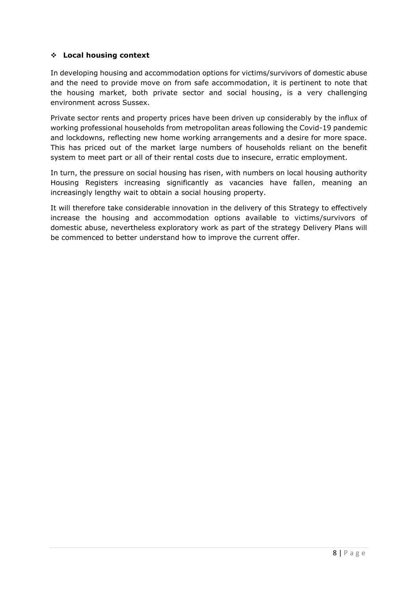# ❖ **Local housing context**

In developing housing and accommodation options for victims/survivors of domestic abuse and the need to provide move on from safe accommodation, it is pertinent to note that the housing market, both private sector and social housing, is a very challenging environment across Sussex.

Private sector rents and property prices have been driven up considerably by the influx of working professional households from metropolitan areas following the Covid-19 pandemic and lockdowns, reflecting new home working arrangements and a desire for more space. This has priced out of the market large numbers of households reliant on the benefit system to meet part or all of their rental costs due to insecure, erratic employment.

In turn, the pressure on social housing has risen, with numbers on local housing authority Housing Registers increasing significantly as vacancies have fallen, meaning an increasingly lengthy wait to obtain a social housing property.

It will therefore take considerable innovation in the delivery of this Strategy to effectively increase the housing and accommodation options available to victims/survivors of domestic abuse, nevertheless exploratory work as part of the strategy Delivery Plans will be commenced to better understand how to improve the current offer.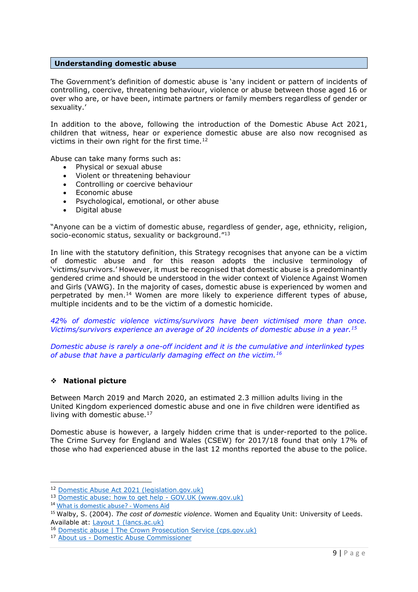#### <span id="page-8-0"></span>**Understanding domestic abuse**

The Government's definition of domestic abuse is 'any incident or pattern of incidents of controlling, coercive, threatening behaviour, violence or abuse between those aged 16 or over who are, or have been, intimate partners or family members regardless of gender or sexuality.'

In addition to the above, following the introduction of the Domestic Abuse Act 2021, children that witness, hear or experience domestic abuse are also now recognised as victims in their own right for the first time.<sup>12</sup>

Abuse can take many forms such as:

- Physical or sexual abuse
- Violent or threatening behaviour
- Controlling or coercive behaviour
- Economic abuse
- Psychological, emotional, or other abuse
- Digital abuse

"Anyone can be a victim of domestic abuse, regardless of gender, age, ethnicity, religion, socio-economic status, sexuality or background."<sup>13</sup>

In line with the statutory definition, this Strategy recognises that anyone can be a victim of domestic abuse and for this reason adopts the inclusive terminology of 'victims/survivors.' However, it must be recognised that domestic abuse is a predominantly gendered crime and should be understood in the wider context of Violence Against Women and Girls (VAWG). In the majority of cases, domestic abuse is experienced by women and perpetrated by men.<sup>14</sup> Women are more likely to experience different types of abuse, multiple incidents and to be the victim of a domestic homicide.

*42% of domestic violence victims/survivors have been victimised more than once. Victims/survivors experience an average of 20 incidents of domestic abuse in a year.<sup>15</sup>*

*Domestic abuse is rarely a one-off incident and it is the cumulative and interlinked types of abuse that have a particularly damaging effect on the victim.<sup>16</sup>*

#### ❖ **National picture**

Between March 2019 and March 2020, an estimated 2.3 million adults living in the United Kingdom experienced domestic abuse and one in five children were identified as living with domestic abuse.<sup>17</sup>

Domestic abuse is however, a largely hidden crime that is under-reported to the police. The Crime Survey for England and Wales (CSEW) for 2017/18 found that only 17% of those who had experienced abuse in the last 12 months reported the abuse to the police.

<sup>12</sup> [Domestic Abuse Act 2021 \(legislation.gov.uk\)](https://www.legislation.gov.uk/ukpga/2021/17/section/3/enacted)

<sup>13</sup> [Domestic abuse: how to get help -](https://www.gov.uk/guidance/domestic-abuse-how-to-get-help) GOV.UK (www.gov.uk)

<sup>14</sup> [What is domestic abuse? -](https://www.womensaid.org.uk/information-support/what-is-domestic-abuse/) Womens Aid

<sup>15</sup> Walby, S. (2004). *The cost of domestic violence*. Women and Equality Unit: University of Leeds. Available at: [Layout 1 \(lancs.ac.uk\)](https://eprints.lancs.ac.uk/id/eprint/55255/1/cost_of_dv_report_sept04.pdf)

<sup>16</sup> [Domestic abuse | The Crown Prosecution Service \(cps.gov.uk\)](https://www.cps.gov.uk/crime-info/domestic-abuse)

<sup>17</sup> About us - [Domestic Abuse Commissioner](https://domesticabusecommissioner.uk/about/)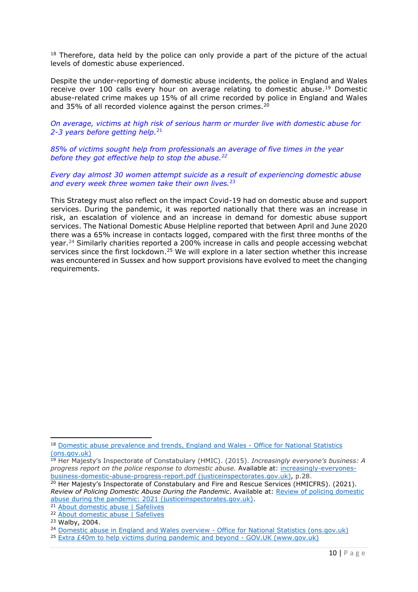$18$  Therefore, data held by the police can only provide a part of the picture of the actual levels of domestic abuse experienced.

Despite the under-reporting of domestic abuse incidents, the police in England and Wales receive over 100 calls every hour on average relating to domestic abuse.<sup>19</sup> Domestic abuse-related crime makes up 15% of all crime recorded by police in England and Wales and 35% of all recorded violence against the person crimes.<sup>20</sup>

*On average, victims at high risk of serious harm or murder live with domestic abuse for 2-3 years before getting help.* 21

*85% of victims sought help from professionals an average of five times in the year before they got effective help to stop the abuse.<sup>22</sup>*

*Every day almost 30 women attempt suicide as a result of experiencing domestic abuse and every week three women take their own lives.*<sup>23</sup>

This Strategy must also reflect on the impact Covid-19 had on domestic abuse and support services. During the pandemic, it was reported nationally that there was an increase in risk, an escalation of violence and an increase in demand for domestic abuse support services. The National Domestic Abuse Helpline reported that between April and June 2020 there was a 65% increase in contacts logged, compared with the first three months of the year. <sup>24</sup> Similarly charities reported a 200% increase in calls and people accessing webchat services since the first lockdown.<sup>25</sup> We will explore in a later section whether this increase was encountered in Sussex and how support provisions have evolved to meet the changing requirements.

<sup>18</sup> [Domestic abuse prevalence and trends, England and Wales -](https://www.ons.gov.uk/peoplepopulationandcommunity/crimeandjustice/articles/domesticabuseprevalenceandtrendsenglandandwales/yearendingmarch2020) Office for National Statistics [\(ons.gov.uk\)](https://www.ons.gov.uk/peoplepopulationandcommunity/crimeandjustice/articles/domesticabuseprevalenceandtrendsenglandandwales/yearendingmarch2020)

<sup>19</sup> Her Majesty's Inspectorate of Constabulary (HMIC). (2015). *Increasingly everyone's business: A progress report on the police response to domestic abuse.* Available at: [increasingly-everyones](https://www.justiceinspectorates.gov.uk/hmicfrs/wp-content/uploads/increasingly-everyones-business-domestic-abuse-progress-report.pdf)[business-domestic-abuse-progress-report.pdf \(justiceinspectorates.gov.uk\),](https://www.justiceinspectorates.gov.uk/hmicfrs/wp-content/uploads/increasingly-everyones-business-domestic-abuse-progress-report.pdf) p.28.

<sup>20</sup> Her Majesty's Inspectorate of Constabulary and Fire and Rescue Services (HMICFRS). (2021). *Review of Policing Domestic Abuse During the Pandemic*. Available at: [Review of policing domestic](https://www.justiceinspectorates.gov.uk/hmicfrs/wp-content/uploads/review-of-policing-domestic-abuse-during-the-pandemic-2021.pdf)  [abuse during the pandemic: 2021 \(justiceinspectorates.gov.uk\).](https://www.justiceinspectorates.gov.uk/hmicfrs/wp-content/uploads/review-of-policing-domestic-abuse-during-the-pandemic-2021.pdf)

<sup>21</sup> [About domestic abuse | Safelives](https://safelives.org.uk/policy-evidence/about-domestic-abuse)

<sup>22</sup> [About domestic abuse | Safelives](https://safelives.org.uk/policy-evidence/about-domestic-abuse)

<sup>23</sup> Walby, 2004.

<sup>&</sup>lt;sup>24</sup> [Domestic abuse in England and Wales overview -](https://www.ons.gov.uk/peoplepopulationandcommunity/crimeandjustice/bulletins/domesticabuseinenglandandwalesoverview/november2020) Office for National Statistics (ons.gov.uk)

<sup>25</sup> [Extra £40m to help victims during pandemic and beyond -](https://www.gov.uk/government/news/extra-40m-to-help-victims-during-pandemic-and-beyond) GOV.UK (www.gov.uk)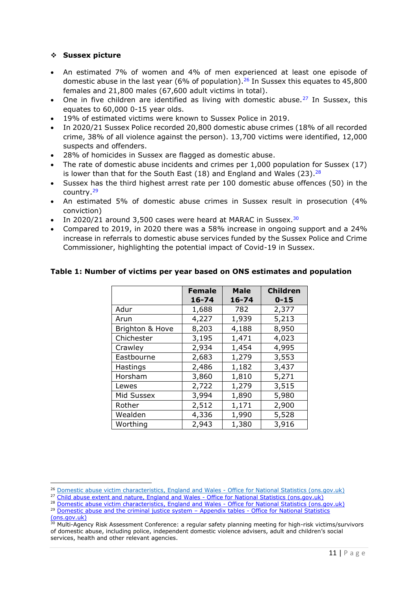#### ❖ **Sussex picture**

- An estimated 7% of women and 4% of men experienced at least one episode of domestic abuse in the last year (6% of population).<sup>26</sup> In Sussex this equates to 45,800 females and 21,800 males (67,600 adult victims in total).
- One in five children are identified as living with domestic abuse.<sup>27</sup> In Sussex, this equates to 60,000 0-15 year olds.
- 19% of estimated victims were known to Sussex Police in 2019.
- In 2020/21 Sussex Police recorded 20,800 domestic abuse crimes (18% of all recorded crime, 38% of all violence against the person). 13,700 victims were identified, 12,000 suspects and offenders.
- 28% of homicides in Sussex are flagged as domestic abuse.
- The rate of domestic abuse incidents and crimes per 1,000 population for Sussex (17) is lower than that for the South East (18) and England and Wales (23).  $28$
- Sussex has the third highest arrest rate per 100 domestic abuse offences (50) in the country.<sup>29</sup>
- An estimated 5% of domestic abuse crimes in Sussex result in prosecution (4% conviction)
- In 2020/21 around 3,500 cases were heard at MARAC in Sussex.<sup>30</sup>
- Compared to 2019, in 2020 there was a 58% increase in ongoing support and a 24% increase in referrals to domestic abuse services funded by the Sussex Police and Crime Commissioner, highlighting the potential impact of Covid-19 in Sussex.

# **Table 1: Number of victims per year based on ONS estimates and population**

|                 | <b>Female</b> | <b>Male</b> | <b>Children</b> |
|-----------------|---------------|-------------|-----------------|
|                 | $16 - 74$     | $16 - 74$   | $0 - 15$        |
| Adur            | 1,688         | 782         | 2,377           |
| Arun            | 4,227         | 1,939       | 5,213           |
| Brighton & Hove | 8,203         | 4,188       | 8,950           |
| Chichester      | 3,195         | 1,471       | 4,023           |
| Crawley         | 2,934         | 1,454       | 4,995           |
| Eastbourne      | 2,683         | 1,279       | 3,553           |
| Hastings        | 2,486         | 1,182       | 3,437           |
| Horsham         | 3,860         | 1,810       | 5,271           |
| Lewes           | 2,722         | 1,279       | 3,515           |
| Mid Sussex      | 3,994         | 1,890       | 5,980           |
| Rother          | 2,512         | 1,171       | 2,900           |
| Wealden         | 4,336         | 1,990       | 5,528           |
| Worthing        | 2,943         | 1,380       | 3,916           |

<sup>&</sup>lt;sup>26</sup> [Domestic abuse victim characteristics, England and Wales -](https://www.ons.gov.uk/peoplepopulationandcommunity/crimeandjustice/articles/domesticabusevictimcharacteristicsenglandandwales/yearendingmarch2019) Office for National Statistics (ons.gov.uk)

<sup>&</sup>lt;sup>27</sup> [Child abuse extent and nature, England and Wales -](https://www.ons.gov.uk/peoplepopulationandcommunity/crimeandjustice/articles/childabuseextentandnatureenglandandwales/yearendingmarch2019) Office for National Statistics (ons.gov.uk)

<sup>&</sup>lt;sup>28</sup> [Domestic abuse victim characteristics, England and Wales -](https://www.ons.gov.uk/peoplepopulationandcommunity/crimeandjustice/articles/domesticabusevictimcharacteristicsenglandandwales/yearendingmarch2019) Office for National Statistics (ons.gov.uk)

<sup>&</sup>lt;sup>29</sup> [Domestic abuse and the criminal justice system](https://www.ons.gov.uk/peoplepopulationandcommunity/crimeandjustice/datasets/domesticabuseandthecriminaljusticesystemappendixtables) - Appendix tables - Office for National Statistics [\(ons.gov.uk\)](https://www.ons.gov.uk/peoplepopulationandcommunity/crimeandjustice/datasets/domesticabuseandthecriminaljusticesystemappendixtables)

<sup>&</sup>lt;sup>30</sup> Multi-Agency Risk Assessment Conference: a regular safety planning meeting for high-risk victims/survivors of domestic abuse, including police, independent domestic violence advisers, adult and children's social services, health and other relevant agencies.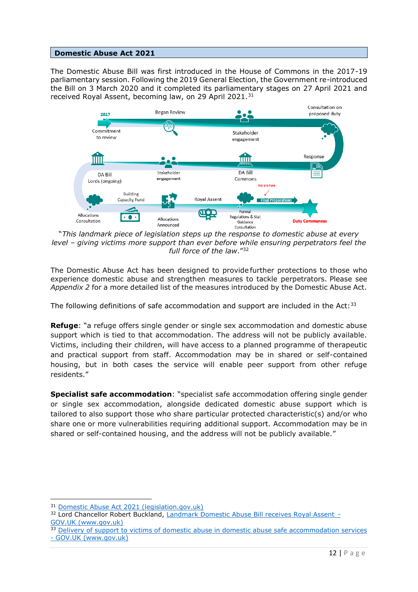# <span id="page-11-0"></span>**Domestic Abuse Act 2021**

The Domestic Abuse Bill was first introduced in the House of Commons in the 2017-19 parliamentary session. Following the 2019 General Election, the Government re-introduced the Bill on 3 March 2020 and it completed its parliamentary stages on 27 April 2021 and received Royal Assent, becoming law, on 29 April 2021.<sup>31</sup>



"*This landmark piece of legislation steps up the response to domestic abuse at every level – giving victims more support than ever before while ensuring perpetrators feel the full force of the law*."<sup>32</sup>

The Domestic Abuse Act has been designed to provide further protections to those who experience domestic abuse and strengthen measures to tackle perpetrators.  Please see *Appendix 2* for a more detailed list of the measures introduced by the Domestic Abuse Act.

The following definitions of safe accommodation and support are included in the Act: $33$ 

**Refuge**: "a refuge offers single gender or single sex accommodation and domestic abuse support which is tied to that accommodation. The address will not be publicly available. Victims, including their children, will have access to a planned programme of therapeutic and practical support from staff. Accommodation may be in shared or self-contained housing, but in both cases the service will enable peer support from other refuge residents."

**Specialist safe accommodation**: "specialist safe accommodation offering single gender or single sex accommodation, alongside dedicated domestic abuse support which is tailored to also support those who share particular protected characteristic(s) and/or who share one or more vulnerabilities requiring additional support. Accommodation may be in shared or self-contained housing, and the address will not be publicly available."

<sup>31</sup> [Domestic Abuse Act 2021 \(legislation.gov.uk\)](https://www.legislation.gov.uk/ukpga/2021/17/part/4/enacted)

<sup>&</sup>lt;sup>32</sup> Lord Chancellor Robert Buckland, Landmark Domestic Abuse Bill receives Royal Assent -GOV.UK (www.gov.uk)

<sup>&</sup>lt;sup>33</sup> Delivery of support to victims of domestic abuse in domestic abuse safe accommodation services - [GOV.UK \(www.gov.uk\)](https://www.gov.uk/government/publications/domestic-abuse-support-within-safe-accommodation/delivery-of-support-to-victims-of-domestic-abuse-in-domestic-abuse-safe-accommodation-services#part-a-key-definitions)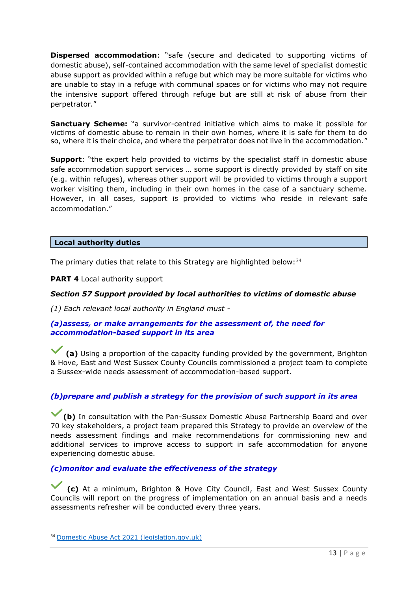**Dispersed accommodation**: "safe (secure and dedicated to supporting victims of domestic abuse), self-contained accommodation with the same level of specialist domestic abuse support as provided within a refuge but which may be more suitable for victims who are unable to stay in a refuge with communal spaces or for victims who may not require the intensive support offered through refuge but are still at risk of abuse from their perpetrator."

**Sanctuary Scheme:** "a survivor-centred initiative which aims to make it possible for victims of domestic abuse to remain in their own homes, where it is safe for them to do so, where it is their choice, and where the perpetrator does not live in the accommodation."

**Support:** "the expert help provided to victims by the specialist staff in domestic abuse safe accommodation support services … some support is directly provided by staff on site (e.g. within refuges), whereas other support will be provided to victims through a support worker visiting them, including in their own homes in the case of a sanctuary scheme. However, in all cases, support is provided to victims who reside in relevant safe accommodation."

# <span id="page-12-0"></span>**Local authority duties**

The primary duties that relate to this Strategy are highlighted below:  $34$ 

**PART 4** Local authority support

# *Section 57 Support provided by local authorities to victims of domestic abuse*

*(1) Each relevant local authority in England must -*

# *(a)assess, or make arrangements for the assessment of, the need for accommodation-based support in its area*

**(a)** Using a proportion of the capacity funding provided by the government, Brighton & Hove, East and West Sussex County Councils commissioned a project team to complete a Sussex-wide needs assessment of accommodation-based support.

# *(b)prepare and publish a strategy for the provision of such support in its area*

**(b)** In consultation with the Pan-Sussex Domestic Abuse Partnership Board and over 70 key stakeholders, a project team prepared this Strategy to provide an overview of the needs assessment findings and make recommendations for commissioning new and additional services to improve access to support in safe accommodation for anyone experiencing domestic abuse.

# *(c)monitor and evaluate the effectiveness of the strategy*

**(c)** At a minimum, Brighton & Hove City Council, East and West Sussex County Councils will report on the progress of implementation on an annual basis and a needs assessments refresher will be conducted every three years.

<sup>34</sup> [Domestic Abuse Act 2021 \(legislation.gov.uk\)](https://www.legislation.gov.uk/ukpga/2021/17/part/7/crossheading/homelessness/enacted)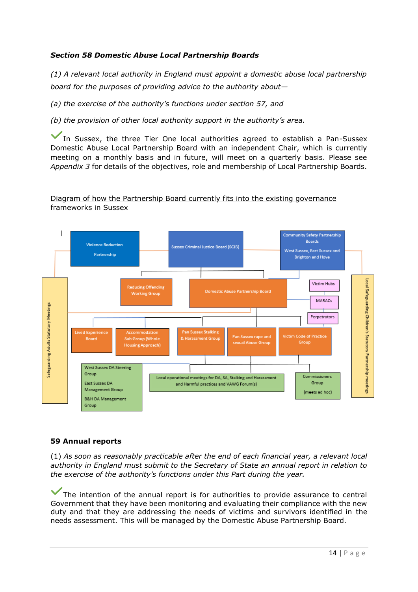# *Section 58 Domestic Abuse Local Partnership Boards*

*(1) A relevant local authority in England must appoint a domestic abuse local partnership board for the purposes of providing advice to the authority about—*

*(a) the exercise of the authority's functions under section 57, and*

*(b) the provision of other local authority support in the authority's area.*

In Sussex, the three Tier One local authorities agreed to establish a Pan-Sussex Domestic Abuse Local Partnership Board with an independent Chair, which is currently meeting on a monthly basis and in future, will meet on a quarterly basis. Please see *Appendix 3* for details of the objectives, role and membership of Local Partnership Boards.

# Diagram of how the Partnership Board currently fits into the existing governance frameworks in Sussex



# **59 Annual reports**

(1) *As soon as reasonably practicable after the end of each financial year, a relevant local authority in England must submit to the Secretary of State an annual report in relation to the exercise of the authority's functions under this Part during the year.*

The intention of the annual report is for authorities to provide assurance to central Government that they have been monitoring and evaluating their compliance with the new duty and that they are addressing the needs of victims and survivors identified in the needs assessment. This will be managed by the Domestic Abuse Partnership Board.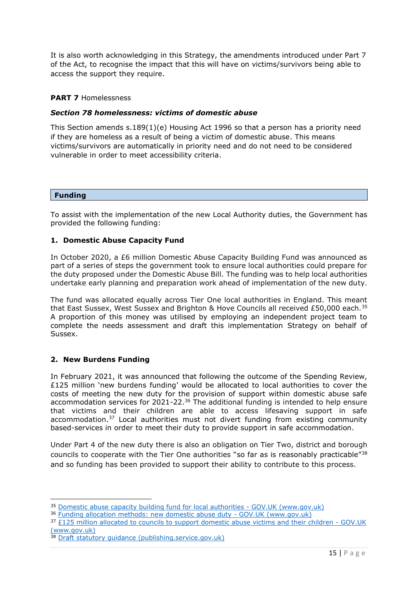It is also worth acknowledging in this Strategy, the amendments introduced under Part 7 of the Act, to recognise the impact that this will have on victims/survivors being able to access the support they require.

#### **PART 7** Homelessness

# *Section 78 homelessness: victims of domestic abuse*

This Section amends s.189(1)(e) Housing Act 1996 so that a person has a priority need if they are homeless as a result of being a victim of domestic abuse. This means victims/survivors are automatically in priority need and do not need to be considered vulnerable in order to meet accessibility criteria.

#### <span id="page-14-0"></span>**Funding**

To assist with the implementation of the new Local Authority duties, the Government has provided the following funding:

#### **1. Domestic Abuse Capacity Fund**

In October 2020, a £6 million Domestic Abuse Capacity Building Fund was announced as part of a series of steps the government took to ensure local authorities could prepare for the duty proposed under the Domestic Abuse Bill. The funding was to help local authorities undertake early planning and preparation work ahead of implementation of the new duty.

The fund was allocated equally across Tier One local authorities in England. This meant that East Sussex, West Sussex and Brighton & Hove Councils all received £50,000 each.<sup>35</sup> A proportion of this money was utilised by employing an independent project team to complete the needs assessment and draft this implementation Strategy on behalf of Sussex.

#### **2. New Burdens Funding**

In February 2021, it was announced that following the outcome of the Spending Review, £125 million 'new burdens funding' would be allocated to local authorities to cover the costs of meeting the new duty for the provision of support within domestic abuse safe accommodation services for 2021-22.<sup>36</sup> The additional funding is intended to help ensure that victims and their children are able to access lifesaving support in safe accommodation.<sup>37</sup> Local authorities must not divert funding from existing community based-services in order to meet their duty to provide support in safe accommodation.

Under Part 4 of the new duty there is also an obligation on Tier Two, district and borough councils to cooperate with the Tier One authorities "so far as is reasonably practicable"<sup>38</sup> and so funding has been provided to support their ability to contribute to this process.

<sup>&</sup>lt;sup>35</sup> [Domestic abuse capacity building fund for local authorities -](https://www.gov.uk/government/publications/domestic-abuse-capacity-building-fund-for-local-authorities) GOV.UK (www.gov.uk)

<sup>36</sup> [Funding allocation methods: new domestic abuse duty -](https://www.gov.uk/government/consultations/funding-allocation-methods-new-domestic-abuse-duty) GOV.UK (www.gov.uk)

<sup>37</sup> [£125 million allocated to councils to support domestic abuse victims and their children -](https://www.gov.uk/government/news/125-million-allocated-to-councils-to-support-domestic-abuse-victims-and-their-children) GOV.UK [\(www.gov.uk\)](https://www.gov.uk/government/news/125-million-allocated-to-councils-to-support-domestic-abuse-victims-and-their-children)

<sup>38</sup> [Draft statutory guidance \(publishing.service.gov.uk\)](https://assets.publishing.service.gov.uk/government/uploads/system/uploads/attachment_data/file/993825/Domestic_Abuse_Act_-_draft_statutory_guidance.pdf)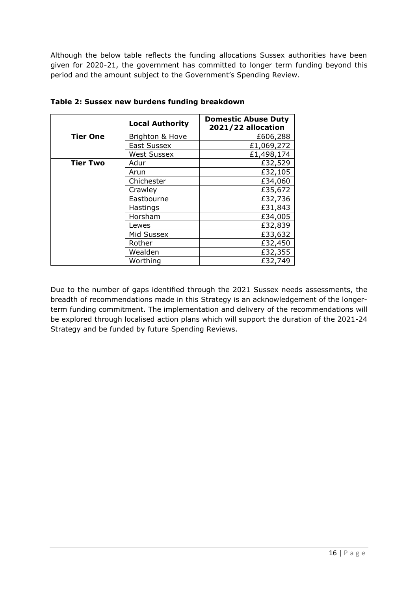Although the below table reflects the funding allocations Sussex authorities have been given for 2020-21, the government has committed to longer term funding beyond this period and the amount subject to the Government's Spending Review.

|                 | <b>Local Authority</b> | <b>Domestic Abuse Duty</b><br>2021/22 allocation |
|-----------------|------------------------|--------------------------------------------------|
| <b>Tier One</b> | Brighton & Hove        | £606,288                                         |
|                 | East Sussex            | £1,069,272                                       |
|                 | <b>West Sussex</b>     | £1,498,174                                       |
| <b>Tier Two</b> | Adur                   | £32,529                                          |
|                 | Arun                   | £32,105                                          |
|                 | Chichester             | £34,060                                          |
|                 | Crawley                | £35,672                                          |
|                 | Eastbourne             | £32,736                                          |
|                 | Hastings               | £31,843                                          |
|                 | Horsham                | £34,005                                          |
|                 | Lewes                  | £32,839                                          |
|                 | Mid Sussex             | £33,632                                          |
|                 | Rother                 | £32,450                                          |
|                 | Wealden                | £32,355                                          |
|                 | Worthing               | £32,749                                          |

**Table 2: Sussex new burdens funding breakdown**

Due to the number of gaps identified through the 2021 Sussex needs assessments, the breadth of recommendations made in this Strategy is an acknowledgement of the longerterm funding commitment. The implementation and delivery of the recommendations will be explored through localised action plans which will support the duration of the 2021-24 Strategy and be funded by future Spending Reviews.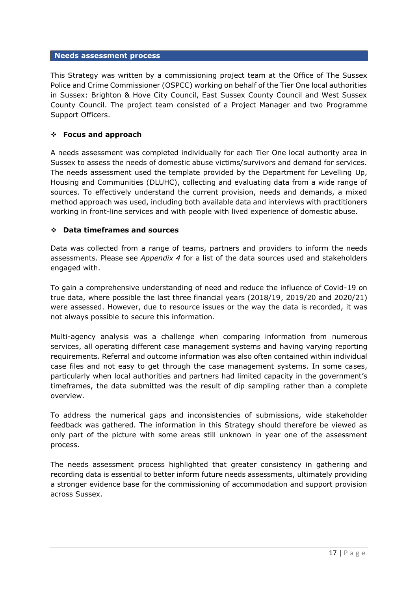#### <span id="page-16-0"></span>**Needs assessment process**

This Strategy was written by a commissioning project team at the Office of The Sussex Police and Crime Commissioner (OSPCC) working on behalf of the Tier One local authorities in Sussex: Brighton & Hove City Council, East Sussex County Council and West Sussex County Council. The project team consisted of a Project Manager and two Programme Support Officers.

# ❖ **Focus and approach**

A needs assessment was completed individually for each Tier One local authority area in Sussex to assess the needs of domestic abuse victims/survivors and demand for services. The needs assessment used the template provided by the Department for Levelling Up, Housing and Communities (DLUHC), collecting and evaluating data from a wide range of sources. To effectively understand the current provision, needs and demands, a mixed method approach was used, including both available data and interviews with practitioners working in front-line services and with people with lived experience of domestic abuse.

# ❖ **Data timeframes and sources**

Data was collected from a range of teams, partners and providers to inform the needs assessments. Please see *Appendix 4* for a list of the data sources used and stakeholders engaged with.

To gain a comprehensive understanding of need and reduce the influence of Covid-19 on true data, where possible the last three financial years (2018/19, 2019/20 and 2020/21) were assessed. However, due to resource issues or the way the data is recorded, it was not always possible to secure this information.

Multi-agency analysis was a challenge when comparing information from numerous services, all operating different case management systems and having varying reporting requirements. Referral and outcome information was also often contained within individual case files and not easy to get through the case management systems. In some cases, particularly when local authorities and partners had limited capacity in the government's timeframes, the data submitted was the result of dip sampling rather than a complete overview.

To address the numerical gaps and inconsistencies of submissions, wide stakeholder feedback was gathered. The information in this Strategy should therefore be viewed as only part of the picture with some areas still unknown in year one of the assessment process.

The needs assessment process highlighted that greater consistency in gathering and recording data is essential to better inform future needs assessments, ultimately providing a stronger evidence base for the commissioning of accommodation and support provision across Sussex.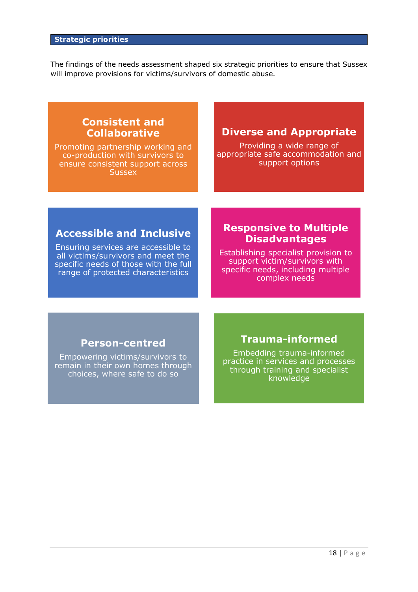<span id="page-17-0"></span>The findings of the needs assessment shaped six strategic priorities to ensure that Sussex will improve provisions for victims/survivors of domestic abuse.

# **Consistent and Collaborative**

Promoting partnership working and co-production with survivors to ensure consistent support across **Sussex** 

# **Diverse and Appropriate**

Providing a wide range of appropriate safe accommodation and support options

# **Accessible and Inclusive**

Ensuring services are accessible to all victims/survivors and meet the specific needs of those with the full range of protected characteristics

# **Responsive to Multiple Disadvantages**

Establishing specialist provision to support victim/survivors with specific needs, including multiple complex needs

# **Person-centred**

Empowering victims/survivors to remain in their own homes through choices, where safe to do so

# **Trauma-informed**

Embedding trauma-informed practice in services and processes through training and specialist knowledge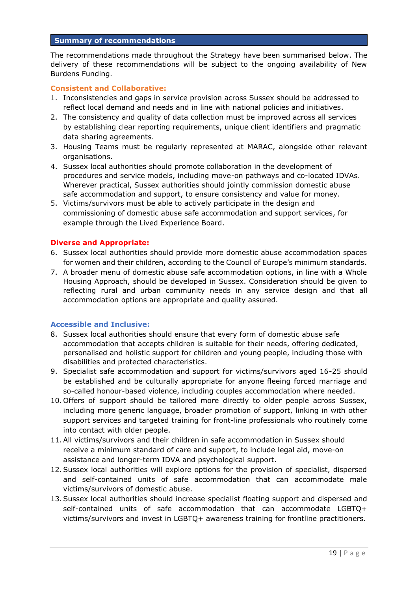#### <span id="page-18-0"></span>**Summary of recommendations**

The recommendations made throughout the Strategy have been summarised below. The delivery of these recommendations will be subject to the ongoing availability of New Burdens Funding.

#### **Consistent and Collaborative:**

- 1. Inconsistencies and gaps in service provision across Sussex should be addressed to reflect local demand and needs and in line with national policies and initiatives.
- 2. The consistency and quality of data collection must be improved across all services by establishing clear reporting requirements, unique client identifiers and pragmatic data sharing agreements.
- 3. Housing Teams must be regularly represented at MARAC, alongside other relevant organisations.
- 4. Sussex local authorities should promote collaboration in the development of procedures and service models, including move-on pathways and co-located IDVAs. Wherever practical, Sussex authorities should jointly commission domestic abuse safe accommodation and support, to ensure consistency and value for money.
- 5. Victims/survivors must be able to actively participate in the design and commissioning of domestic abuse safe accommodation and support services, for example through the Lived Experience Board.

# **Diverse and Appropriate:**

- 6. Sussex local authorities should provide more domestic abuse accommodation spaces for women and their children, according to the Council of Europe's minimum standards.
- 7. A broader menu of domestic abuse safe accommodation options, in line with a Whole Housing Approach, should be developed in Sussex. Consideration should be given to reflecting rural and urban community needs in any service design and that all accommodation options are appropriate and quality assured.

#### **Accessible and Inclusive:**

- 8. Sussex local authorities should ensure that every form of domestic abuse safe accommodation that accepts children is suitable for their needs, offering dedicated, personalised and holistic support for children and young people, including those with disabilities and protected characteristics.
- 9. Specialist safe accommodation and support for victims/survivors aged 16-25 should be established and be culturally appropriate for anyone fleeing forced marriage and so-called honour-based violence, including couples accommodation where needed.
- 10. Offers of support should be tailored more directly to older people across Sussex, including more generic language, broader promotion of support, linking in with other support services and targeted training for front-line professionals who routinely come into contact with older people.
- 11.All victims/survivors and their children in safe accommodation in Sussex should receive a minimum standard of care and support, to include legal aid, move-on assistance and longer-term IDVA and psychological support.
- 12.Sussex local authorities will explore options for the provision of specialist, dispersed and self-contained units of safe accommodation that can accommodate male victims/survivors of domestic abuse.
- 13.Sussex local authorities should increase specialist floating support and dispersed and self-contained units of safe accommodation that can accommodate LGBTQ+ victims/survivors and invest in LGBTQ+ awareness training for frontline practitioners.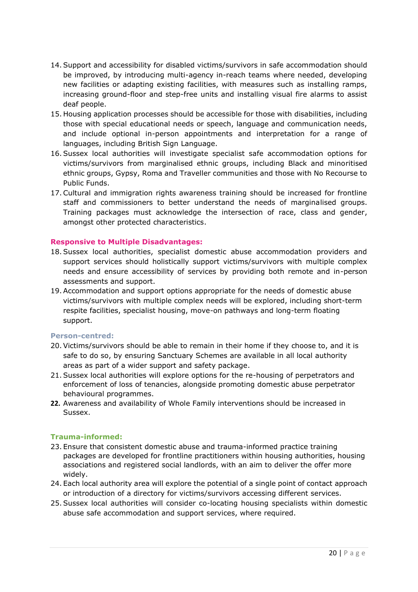- 14.Support and accessibility for disabled victims/survivors in safe accommodation should be improved, by introducing multi-agency in-reach teams where needed, developing new facilities or adapting existing facilities, with measures such as installing ramps, increasing ground-floor and step-free units and installing visual fire alarms to assist deaf people.
- 15. Housing application processes should be accessible for those with disabilities, including those with special educational needs or speech, language and communication needs, and include optional in-person appointments and interpretation for a range of languages, including British Sign Language.
- 16.Sussex local authorities will investigate specialist safe accommodation options for victims/survivors from marginalised ethnic groups, including Black and minoritised ethnic groups, Gypsy, Roma and Traveller communities and those with No Recourse to Public Funds.
- 17.Cultural and immigration rights awareness training should be increased for frontline staff and commissioners to better understand the needs of marginalised groups. Training packages must acknowledge the intersection of race, class and gender, amongst other protected characteristics.

# **Responsive to Multiple Disadvantages:**

- 18.Sussex local authorities, specialist domestic abuse accommodation providers and support services should holistically support victims/survivors with multiple complex needs and ensure accessibility of services by providing both remote and in-person assessments and support.
- 19.Accommodation and support options appropriate for the needs of domestic abuse victims/survivors with multiple complex needs will be explored, including short-term respite facilities, specialist housing, move-on pathways and long-term floating support.

#### **Person-centred:**

- 20.Victims/survivors should be able to remain in their home if they choose to, and it is safe to do so, by ensuring Sanctuary Schemes are available in all local authority areas as part of a wider support and safety package.
- 21.Sussex local authorities will explore options for the re-housing of perpetrators and enforcement of loss of tenancies, alongside promoting domestic abuse perpetrator behavioural programmes.
- **22.** Awareness and availability of Whole Family interventions should be increased in Sussex.

# **Trauma-informed:**

- 23. Ensure that consistent domestic abuse and trauma-informed practice training packages are developed for frontline practitioners within housing authorities, housing associations and registered social landlords, with an aim to deliver the offer more widely.
- 24. Each local authority area will explore the potential of a single point of contact approach or introduction of a directory for victims/survivors accessing different services.
- 25.Sussex local authorities will consider co-locating housing specialists within domestic abuse safe accommodation and support services, where required.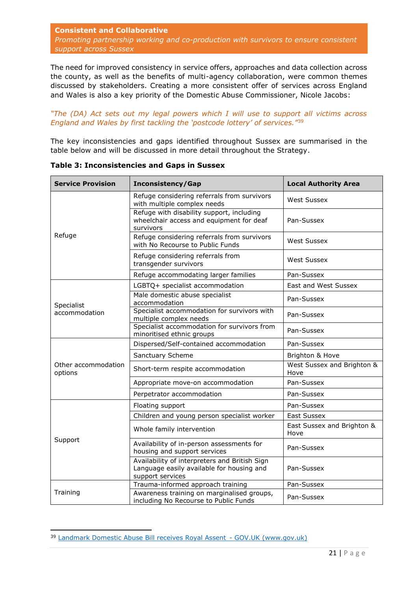<span id="page-20-0"></span>**Consistent and Collaborative** *Promoting partnership working and co-production with survivors to ensure consistent support across Sussex*

The need for improved consistency in service offers, approaches and data collection across the county, as well as the benefits of multi-agency collaboration, were common themes discussed by stakeholders. Creating a more consistent offer of services across England and Wales is also a key priority of the Domestic Abuse Commissioner, Nicole Jacobs:

*"The (DA) Act sets out my legal powers which I will use to support all victims across England and Wales by first tackling the 'postcode lottery' of services."*<sup>39</sup>

The key inconsistencies and gaps identified throughout Sussex are summarised in the table below and will be discussed in more detail throughout the Strategy.

| <b>Service Provision</b>       | <b>Inconsistency/Gap</b>                                                                                       | <b>Local Authority Area</b>        |
|--------------------------------|----------------------------------------------------------------------------------------------------------------|------------------------------------|
|                                | Refuge considering referrals from survivors<br>with multiple complex needs                                     | <b>West Sussex</b>                 |
|                                | Refuge with disability support, including<br>wheelchair access and equipment for deaf<br>survivors             | Pan-Sussex                         |
| Refuge                         | Refuge considering referrals from survivors<br>with No Recourse to Public Funds                                | <b>West Sussex</b>                 |
|                                | Refuge considering referrals from<br>transgender survivors                                                     | <b>West Sussex</b>                 |
|                                | Refuge accommodating larger families                                                                           | Pan-Sussex                         |
|                                | LGBTQ+ specialist accommodation                                                                                | East and West Sussex               |
| Specialist                     | Male domestic abuse specialist<br>accommodation                                                                | Pan-Sussex                         |
| accommodation                  | Specialist accommodation for survivors with<br>multiple complex needs                                          | Pan-Sussex                         |
|                                | Specialist accommodation for survivors from<br>minoritised ethnic groups                                       | Pan-Sussex                         |
|                                | Dispersed/Self-contained accommodation                                                                         | Pan-Sussex                         |
|                                | Sanctuary Scheme                                                                                               | Brighton & Hove                    |
| Other accommodation<br>options | Short-term respite accommodation                                                                               | West Sussex and Brighton &<br>Hove |
|                                | Appropriate move-on accommodation                                                                              | Pan-Sussex                         |
|                                | Perpetrator accommodation                                                                                      | Pan-Sussex                         |
|                                | Floating support                                                                                               | Pan-Sussex                         |
|                                | Children and young person specialist worker                                                                    | <b>East Sussex</b>                 |
| Support                        | Whole family intervention                                                                                      | East Sussex and Brighton &<br>Hove |
|                                | Availability of in-person assessments for<br>housing and support services                                      | Pan-Sussex                         |
|                                | Availability of interpreters and British Sign<br>Language easily available for housing and<br>support services | Pan-Sussex                         |
|                                | Trauma-informed approach training                                                                              | Pan-Sussex                         |
| Training                       | Awareness training on marginalised groups,<br>including No Recourse to Public Funds                            | Pan-Sussex                         |

**Table 3: Inconsistencies and Gaps in Sussex**

<sup>39</sup> Landmark Domestic Abuse Bill receives Royal Assent - GOV.UK (www.gov.uk)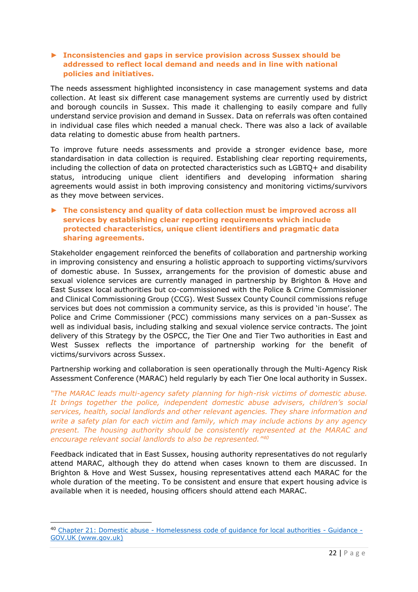# ► **Inconsistencies and gaps in service provision across Sussex should be addressed to reflect local demand and needs and in line with national policies and initiatives.**

The needs assessment highlighted inconsistency in case management systems and data collection. At least six different case management systems are currently used by district and borough councils in Sussex. This made it challenging to easily compare and fully understand service provision and demand in Sussex. Data on referrals was often contained in individual case files which needed a manual check. There was also a lack of available data relating to domestic abuse from health partners.

To improve future needs assessments and provide a stronger evidence base, more standardisation in data collection is required. Establishing clear reporting requirements, including the collection of data on protected characteristics such as LGBTQ+ and disability status, introducing unique client identifiers and developing information sharing agreements would assist in both improving consistency and monitoring victims/survivors as they move between services.

# ► **The consistency and quality of data collection must be improved across all services by establishing clear reporting requirements which include protected characteristics, unique client identifiers and pragmatic data sharing agreements.**

Stakeholder engagement reinforced the benefits of collaboration and partnership working in improving consistency and ensuring a holistic approach to supporting victims/survivors of domestic abuse. In Sussex, arrangements for the provision of domestic abuse and sexual violence services are currently managed in partnership by Brighton & Hove and East Sussex local authorities but co-commissioned with the Police & Crime Commissioner and Clinical Commissioning Group (CCG). West Sussex County Council commissions refuge services but does not commission a community service, as this is provided 'in house'. The Police and Crime Commissioner (PCC) commissions many services on a pan-Sussex as well as individual basis, including stalking and sexual violence service contracts. The joint delivery of this Strategy by the OSPCC, the Tier One and Tier Two authorities in East and West Sussex reflects the importance of partnership working for the benefit of victims/survivors across Sussex.

Partnership working and collaboration is seen operationally through the Multi-Agency Risk Assessment Conference (MARAC) held regularly by each Tier One local authority in Sussex.

*"The MARAC leads multi-agency safety planning for high-risk victims of domestic abuse. It brings together the police, independent domestic abuse advisers, children's social services, health, social landlords and other relevant agencies. They share information and write a safety plan for each victim and family, which may include actions by any agency present. The housing authority should be consistently represented at the MARAC and encourage relevant social landlords to also be represented."<sup>40</sup>*

Feedback indicated that in East Sussex, housing authority representatives do not regularly attend MARAC, although they do attend when cases known to them are discussed. In Brighton & Hove and West Sussex, housing representatives attend each MARAC for the whole duration of the meeting. To be consistent and ensure that expert housing advice is available when it is needed, housing officers should attend each MARAC.

<sup>40</sup> Chapter 21: Domestic abuse - [Homelessness code of guidance for local authorities -](https://www.gov.uk/guidance/homelessness-code-of-guidance-for-local-authorities/chapter-21-domestic-abuse) Guidance - [GOV.UK \(www.gov.uk\)](https://www.gov.uk/guidance/homelessness-code-of-guidance-for-local-authorities/chapter-21-domestic-abuse)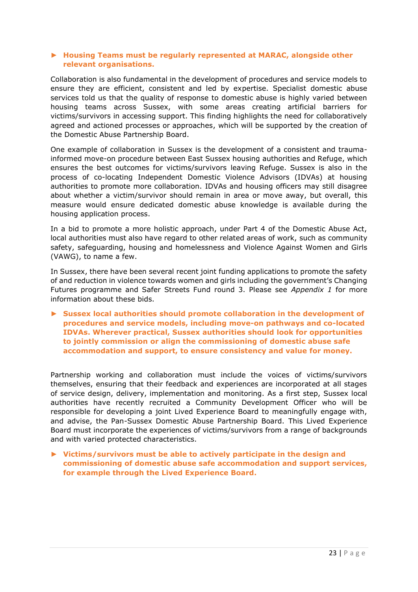## ► **Housing Teams must be regularly represented at MARAC, alongside other relevant organisations.**

Collaboration is also fundamental in the development of procedures and service models to ensure they are efficient, consistent and led by expertise. Specialist domestic abuse services told us that the quality of response to domestic abuse is highly varied between housing teams across Sussex, with some areas creating artificial barriers for victims/survivors in accessing support. This finding highlights the need for collaboratively agreed and actioned processes or approaches, which will be supported by the creation of the Domestic Abuse Partnership Board.

One example of collaboration in Sussex is the development of a consistent and traumainformed move-on procedure between East Sussex housing authorities and Refuge, which ensures the best outcomes for victims/survivors leaving Refuge. Sussex is also in the process of co-locating Independent Domestic Violence Advisors (IDVAs) at housing authorities to promote more collaboration. IDVAs and housing officers may still disagree about whether a victim/survivor should remain in area or move away, but overall, this measure would ensure dedicated domestic abuse knowledge is available during the housing application process.

In a bid to promote a more holistic approach, under Part 4 of the Domestic Abuse Act, local authorities must also have regard to other related areas of work, such as community safety, safeguarding, housing and homelessness and Violence Against Women and Girls (VAWG), to name a few.

In Sussex, there have been several recent joint funding applications to promote the safety of and reduction in violence towards women and girls including the government's Changing Futures programme and Safer Streets Fund round 3. Please see *Appendix 1* for more information about these bids.

► **Sussex local authorities should promote collaboration in the development of procedures and service models, including move-on pathways and co-located IDVAs. Wherever practical, Sussex authorities should look for opportunities to jointly commission or align the commissioning of domestic abuse safe accommodation and support, to ensure consistency and value for money.**

Partnership working and collaboration must include the voices of victims/survivors themselves, ensuring that their feedback and experiences are incorporated at all stages of service design, delivery, implementation and monitoring. As a first step, Sussex local authorities have recently recruited a Community Development Officer who will be responsible for developing a joint Lived Experience Board to meaningfully engage with, and advise, the Pan-Sussex Domestic Abuse Partnership Board. This Lived Experience Board must incorporate the experiences of victims/survivors from a range of backgrounds and with varied protected characteristics.

► **Victims/survivors must be able to actively participate in the design and commissioning of domestic abuse safe accommodation and support services, for example through the Lived Experience Board.**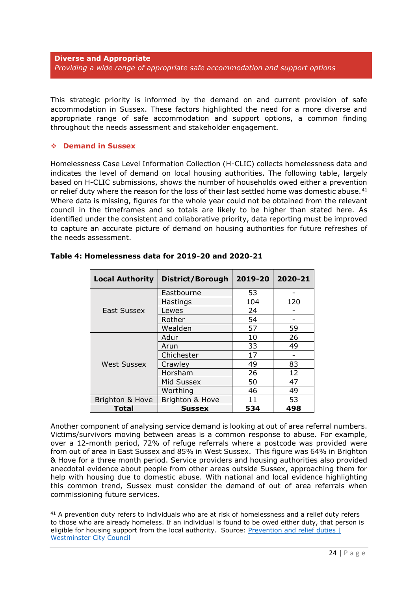<span id="page-23-0"></span>This strategic priority is informed by the demand on and current provision of safe accommodation in Sussex. These factors highlighted the need for a more diverse and appropriate range of safe accommodation and support options, a common finding throughout the needs assessment and stakeholder engagement.

# ❖ **Demand in Sussex**

Homelessness Case Level Information Collection (H-CLIC) collects homelessness data and indicates the level of demand on local housing authorities. The following table, largely based on H-CLIC submissions, shows the number of households owed either a prevention or relief duty where the reason for the loss of their last settled home was domestic abuse.<sup>41</sup> Where data is missing, figures for the whole year could not be obtained from the relevant council in the timeframes and so totals are likely to be higher than stated here. As identified under the consistent and collaborative priority, data reporting must be improved to capture an accurate picture of demand on housing authorities for future refreshes of the needs assessment.

| <b>Local Authority</b> | District/Borough | 2019-20 | 2020-21 |
|------------------------|------------------|---------|---------|
|                        | Eastbourne       | 53      |         |
|                        | Hastings         | 104     | 120     |
| East Sussex            | Lewes            | 24      |         |
|                        | Rother           | 54      |         |
|                        | Wealden          | 57      | 59      |
|                        | Adur             | 10      | 26      |
|                        | Arun             | 33      | 49      |
|                        | Chichester       | 17      |         |
| <b>West Sussex</b>     | Crawley          | 49      | 83      |
|                        | Horsham          | 26      | 12      |
|                        | Mid Sussex       | 50      | 47      |
|                        | Worthing         | 46      | 49      |
| Brighton & Hove        | Brighton & Hove  | 11      | 53      |
| Total                  | <b>Sussex</b>    | 534     | 498     |

# **Table 4: Homelessness data for 2019-20 and 2020-21**

Another component of analysing service demand is looking at out of area referral numbers. Victims/survivors moving between areas is a common response to abuse. For example, over a 12-month period, 72% of refuge referrals where a postcode was provided were from out of area in East Sussex and 85% in West Sussex. This figure was 64% in Brighton & Hove for a three month period. Service providers and housing authorities also provided anecdotal evidence about people from other areas outside Sussex, approaching them for help with housing due to domestic abuse. With national and local evidence highlighting this common trend, Sussex must consider the demand of out of area referrals when commissioning future services.

<sup>&</sup>lt;sup>41</sup> A prevention duty refers to individuals who are at risk of homelessness and a relief duty refers to those who are already homeless. If an individual is found to be owed either duty, that person is eligible for housing support from the local authority. Source: Prevention and relief duties [ [Westminster City Council](https://www.westminster.gov.uk/housing/homelessness/prevention-and-relief-duties)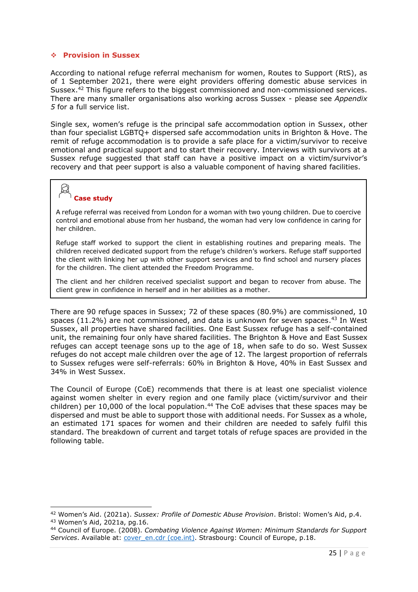#### ❖ **Provision in Sussex**

According to national refuge referral mechanism for women, Routes to Support (RtS), as of 1 September 2021, there were eight providers offering domestic abuse services in Sussex.<sup>42</sup> This figure refers to the biggest commissioned and non-commissioned services. There are many smaller organisations also working across Sussex - please see *Appendix 5* for a full service list.

Single sex, women's refuge is the principal safe accommodation option in Sussex, other than four specialist LGBTQ+ dispersed safe accommodation units in Brighton & Hove. The remit of refuge accommodation is to provide a safe place for a victim/survivor to receive emotional and practical support and to start their recovery. Interviews with survivors at a Sussex refuge suggested that staff can have a positive impact on a victim/survivor's recovery and that peer support is also a valuable component of having shared facilities.

# **Case study**

A refuge referral was received from London for a woman with two young children. Due to coercive control and emotional abuse from her husband, the woman had very low confidence in caring for her children.

Refuge staff worked to support the client in establishing routines and preparing meals. The children received dedicated support from the refuge's children's workers. Refuge staff supported the client with linking her up with other support services and to find school and nursery places for the children. The client attended the Freedom Programme.

The client and her children received specialist support and began to recover from abuse. The client grew in confidence in herself and in her abilities as a mother.

There are 90 refuge spaces in Sussex; 72 of these spaces (80.9%) are commissioned, 10 spaces  $(11.2%)$  are not commissioned, and data is unknown for seven spaces.<sup>43</sup> In West Sussex, all properties have shared facilities. One East Sussex refuge has a self-contained unit, the remaining four only have shared facilities. The Brighton & Hove and East Sussex refuges can accept teenage sons up to the age of 18, when safe to do so. West Sussex refuges do not accept male children over the age of 12. The largest proportion of referrals to Sussex refuges were self-referrals: 60% in Brighton & Hove, 40% in East Sussex and 34% in West Sussex.

The Council of Europe (CoE) recommends that there is at least one specialist violence against women shelter in every region and one family place (victim/survivor and their children) per 10,000 of the local population.<sup>44</sup> The CoE advises that these spaces may be dispersed and must be able to support those with additional needs. For Sussex as a whole, an estimated 171 spaces for women and their children are needed to safely fulfil this standard. The breakdown of current and target totals of refuge spaces are provided in the following table.

<sup>42</sup> Women's Aid. (2021a). *Sussex: Profile of Domestic Abuse Provision*. Bristol: Women's Aid, p.4. <sup>43</sup> Women's Aid, 2021a, pg.16.

<sup>44</sup> Council of Europe. (2008). *Combating Violence Against Women: Minimum Standards for Support*  Services. Available at: *cover\_en.cdr (coe.int)*. Strasbourg: Council of Europe, p.18.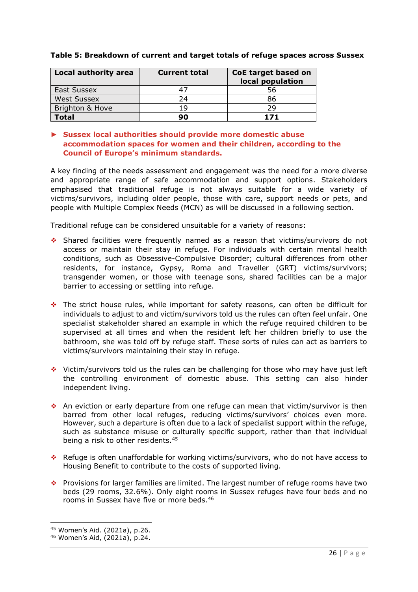| Local authority area | <b>Current total</b> | CoE target based on<br>local population |
|----------------------|----------------------|-----------------------------------------|
| East Sussex          |                      | 56                                      |
| <b>West Sussex</b>   | 24                   | 86                                      |
| Brighton & Hove      | 19                   | 29                                      |
| Total                |                      | 1 7 1                                   |

# **Table 5: Breakdown of current and target totals of refuge spaces across Sussex**

# ► **Sussex local authorities should provide more domestic abuse accommodation spaces for women and their children, according to the Council of Europe's minimum standards.**

A key finding of the needs assessment and engagement was the need for a more diverse and appropriate range of safe accommodation and support options. Stakeholders emphasised that traditional refuge is not always suitable for a wide variety of victims/survivors, including older people, those with care, support needs or pets, and people with Multiple Complex Needs (MCN) as will be discussed in a following section.

Traditional refuge can be considered unsuitable for a variety of reasons:

- ❖ Shared facilities were frequently named as a reason that victims/survivors do not access or maintain their stay in refuge. For individuals with certain mental health conditions, such as Obsessive-Compulsive Disorder; cultural differences from other residents, for instance, Gypsy, Roma and Traveller (GRT) victims/survivors; transgender women, or those with teenage sons, shared facilities can be a major barrier to accessing or settling into refuge.
- ❖ The strict house rules, while important for safety reasons, can often be difficult for individuals to adjust to and victim/survivors told us the rules can often feel unfair. One specialist stakeholder shared an example in which the refuge required children to be supervised at all times and when the resident left her children briefly to use the bathroom, she was told off by refuge staff. These sorts of rules can act as barriers to victims/survivors maintaining their stay in refuge.
- ❖ Victim/survivors told us the rules can be challenging for those who may have just left the controlling environment of domestic abuse. This setting can also hinder independent living.
- ❖ An eviction or early departure from one refuge can mean that victim/survivor is then barred from other local refuges, reducing victims/survivors' choices even more. However, such a departure is often due to a lack of specialist support within the refuge, such as substance misuse or culturally specific support, rather than that individual being a risk to other residents.<sup>45</sup>
- ❖ Refuge is often unaffordable for working victims/survivors, who do not have access to Housing Benefit to contribute to the costs of supported living.
- ❖ Provisions for larger families are limited. The largest number of refuge rooms have two beds (29 rooms, 32.6%). Only eight rooms in Sussex refuges have four beds and no rooms in Sussex have five or more beds. 46

<sup>45</sup> Women's Aid. (2021a), p.26.

<sup>46</sup> Women's Aid, (2021a), p.24.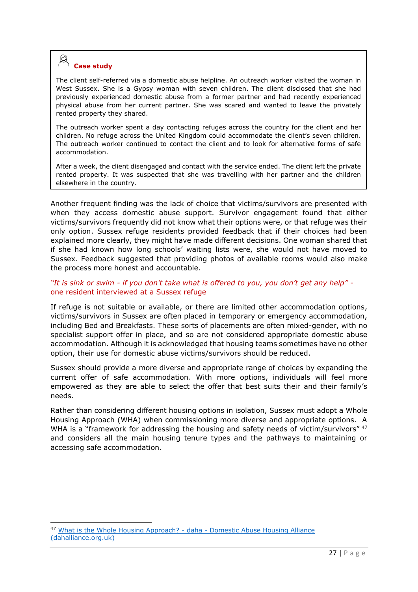# **Case study**

The client self-referred via a domestic abuse helpline. An outreach worker visited the woman in West Sussex. She is a Gypsy woman with seven children. The client disclosed that she had previously experienced domestic abuse from a former partner and had recently experienced physical abuse from her current partner. She was scared and wanted to leave the privately rented property they shared.

The outreach worker spent a day contacting refuges across the country for the client and her children. No refuge across the United Kingdom could accommodate the client's seven children. The outreach worker continued to contact the client and to look for alternative forms of safe accommodation.

After a week, the client disengaged and contact with the service ended. The client left the private rented property. It was suspected that she was travelling with her partner and the children elsewhere in the country.

Another frequent finding was the lack of choice that victims/survivors are presented with when they access domestic abuse support. Survivor engagement found that either victims/survivors frequently did not know what their options were, or that refuge was their only option. Sussex refuge residents provided feedback that if their choices had been explained more clearly, they might have made different decisions. One woman shared that if she had known how long schools' waiting lists were, she would not have moved to Sussex. Feedback suggested that providing photos of available rooms would also make the process more honest and accountable.

## *"It is sink or swim - if you don't take what is offered to you, you don't get any help"*  one resident interviewed at a Sussex refuge

If refuge is not suitable or available, or there are limited other accommodation options, victims/survivors in Sussex are often placed in temporary or emergency accommodation, including Bed and Breakfasts. These sorts of placements are often mixed-gender, with no specialist support offer in place, and so are not considered appropriate domestic abuse accommodation. Although it is acknowledged that housing teams sometimes have no other option, their use for domestic abuse victims/survivors should be reduced.

Sussex should provide a more diverse and appropriate range of choices by expanding the current offer of safe accommodation. With more options, individuals will feel more empowered as they are able to select the offer that best suits their and their family's needs.

Rather than considering different housing options in isolation, Sussex must adopt a Whole Housing Approach (WHA) when commissioning more diverse and appropriate options. A WHA is a "framework for addressing the housing and safety needs of victim/survivors" <sup>47</sup> and considers all the main housing tenure types and the pathways to maintaining or accessing safe accommodation.

<sup>47</sup> [What is the Whole Housing Approach? -](https://www.dahalliance.org.uk/what-we-do/whole-housing-approach/what-is-the-whole-housing-approach/) daha - Domestic Abuse Housing Alliance [\(dahalliance.org.uk\)](https://www.dahalliance.org.uk/what-we-do/whole-housing-approach/what-is-the-whole-housing-approach/)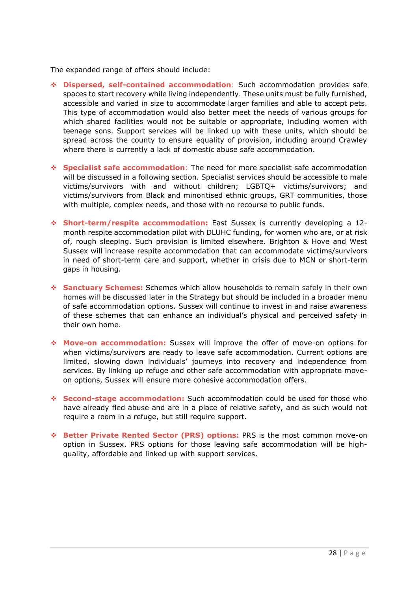The expanded range of offers should include:

- ❖ **Dispersed, self-contained accommodation**: Such accommodation provides safe spaces to start recovery while living independently. These units must be fully furnished, accessible and varied in size to accommodate larger families and able to accept pets. This type of accommodation would also better meet the needs of various groups for which shared facilities would not be suitable or appropriate, including women with teenage sons. Support services will be linked up with these units, which should be spread across the county to ensure equality of provision, including around Crawley where there is currently a lack of domestic abuse safe accommodation.
- ❖ **Specialist safe accommodation**: The need for more specialist safe accommodation will be discussed in a following section. Specialist services should be accessible to male victims/survivors with and without children; LGBTQ+ victims/survivors; and victims/survivors from Black and minoritised ethnic groups, GRT communities, those with multiple, complex needs, and those with no recourse to public funds.
- ❖ **Short-term/respite accommodation:** East Sussex is currently developing a 12 month respite accommodation pilot with DLUHC funding, for women who are, or at risk of, rough sleeping. Such provision is limited elsewhere. Brighton & Hove and West Sussex will increase respite accommodation that can accommodate victims/survivors in need of short-term care and support, whether in crisis due to MCN or short-term gaps in housing.
- ❖ **Sanctuary Schemes:** Schemes which allow households to remain safely in their own homes will be discussed later in the Strategy but should be included in a broader menu of safe accommodation options. Sussex will continue to invest in and raise awareness of these schemes that can enhance an individual's physical and perceived safety in their own home.
- ❖ **Move-on accommodation:** Sussex will improve the offer of move-on options for when victims/survivors are ready to leave safe accommodation. Current options are limited, slowing down individuals' journeys into recovery and independence from services. By linking up refuge and other safe accommodation with appropriate moveon options, Sussex will ensure more cohesive accommodation offers.
- ❖ **Second-stage accommodation:** Such accommodation could be used for those who have already fled abuse and are in a place of relative safety, and as such would not require a room in a refuge, but still require support.
- ❖ **Better Private Rented Sector (PRS) options:** PRS is the most common move-on option in Sussex. PRS options for those leaving safe accommodation will be highquality, affordable and linked up with support services.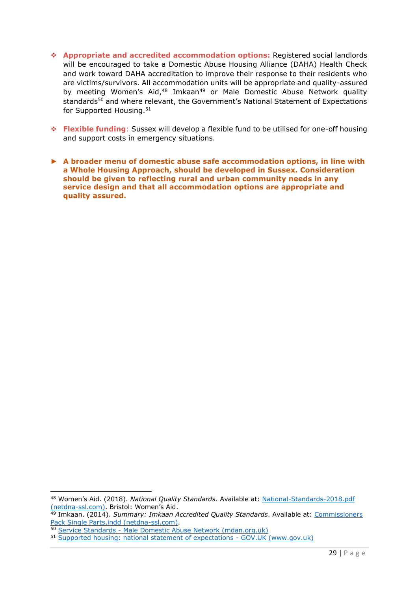- ❖ **Appropriate and accredited accommodation options:** Registered social landlords will be encouraged to take a Domestic Abuse Housing Alliance (DAHA) Health Check and work toward DAHA accreditation to improve their response to their residents who are victims/survivors. All accommodation units will be appropriate and quality-assured by meeting Women's Aid,<sup>48</sup> Imkaan<sup>49</sup> or Male Domestic Abuse Network quality standards<sup>50</sup> and where relevant, the Government's National Statement of Expectations for Supported Housing.<sup>51</sup>
- ❖ **Flexible funding**: Sussex will develop a flexible fund to be utilised for one-off housing and support costs in emergency situations.
- ► **A broader menu of domestic abuse safe accommodation options, in line with a Whole Housing Approach, should be developed in Sussex. Consideration should be given to reflecting rural and urban community needs in any service design and that all accommodation options are appropriate and quality assured.**

<sup>48</sup> Women's Aid. (2018). *National Quality Standards.* Available at: [National-Standards-2018.pdf](https://1q7dqy2unor827bqjls0c4rn-wpengine.netdna-ssl.com/wp-content/uploads/2018/01/National-Standards-2018.pdf)  [\(netdna-ssl.com\)](https://1q7dqy2unor827bqjls0c4rn-wpengine.netdna-ssl.com/wp-content/uploads/2018/01/National-Standards-2018.pdf). Bristol: Women's Aid.

<sup>49</sup> Imkaan. (2014). *Summary: Imkaan Accredited Quality Standards*. Available at: [Commissioners](https://1q7dqy2unor827bqjls0c4rn-wpengine.netdna-ssl.com/wp-content/uploads/2015/12/4_-_Successful_Commissioning_Imkaan_Standards_Summary.pdf)  [Pack Single Parts.indd \(netdna-ssl.com\).](https://1q7dqy2unor827bqjls0c4rn-wpengine.netdna-ssl.com/wp-content/uploads/2015/12/4_-_Successful_Commissioning_Imkaan_Standards_Summary.pdf)

<sup>50</sup> Service Standards - [Male Domestic Abuse Network \(mdan.org.uk\)](https://mdan.org.uk/service-standards/)

<sup>51</sup> [Supported housing: national statement of expectations -](https://www.gov.uk/government/publications/supported-housing-national-statement-of-expectations/supported-housing-national-statement-of-expectations) GOV.UK (www.gov.uk)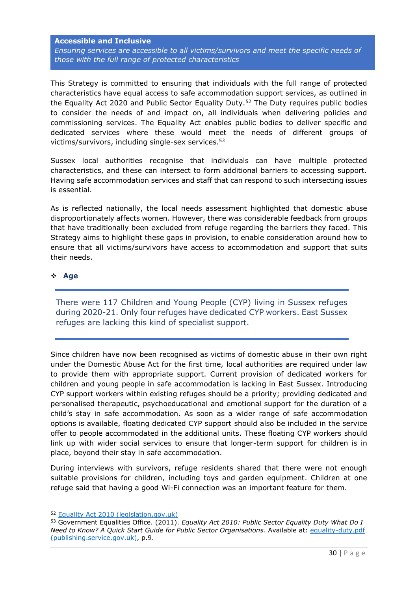#### <span id="page-29-0"></span>**Accessible and Inclusive**

*Ensuring services are accessible to all victims/survivors and meet the specific needs of those with the full range of protected characteristics*

This Strategy is committed to ensuring that individuals with the full range of protected characteristics have equal access to safe accommodation support services, as outlined in the Equality Act 2020 and Public Sector Equality Duty.<sup>52</sup> The Duty requires public bodies to consider the needs of and impact on, all individuals when delivering policies and commissioning services. The Equality Act enables public bodies to deliver specific and dedicated services where these would meet the needs of different groups of victims/survivors, including single-sex services.<sup>53</sup>

Sussex local authorities recognise that individuals can have multiple protected characteristics, and these can intersect to form additional barriers to accessing support. Having safe accommodation services and staff that can respond to such intersecting issues is essential.

As is reflected nationally, the local needs assessment highlighted that domestic abuse disproportionately affects women. However, there was considerable feedback from groups that have traditionally been excluded from refuge regarding the barriers they faced. This Strategy aims to highlight these gaps in provision, to enable consideration around how to ensure that all victims/survivors have access to accommodation and support that suits their needs.

#### ❖ **Age**

There were 117 Children and Young People (CYP) living in Sussex refuges during 2020-21. Only four refuges have dedicated CYP workers. East Sussex refuges are lacking this kind of specialist support.

Since children have now been recognised as victims of domestic abuse in their own right under the Domestic Abuse Act for the first time, local authorities are required under law to provide them with appropriate support. Current provision of dedicated workers for children and young people in safe accommodation is lacking in East Sussex. Introducing CYP support workers within existing refuges should be a priority; providing dedicated and personalised therapeutic, psychoeducational and emotional support for the duration of a child's stay in safe accommodation. As soon as a wider range of safe accommodation options is available, floating dedicated CYP support should also be included in the service offer to people accommodated in the additional units. These floating CYP workers should link up with wider social services to ensure that longer-term support for children is in place, beyond their stay in safe accommodation.

During interviews with survivors, refuge residents shared that there were not enough suitable provisions for children, including toys and garden equipment. Children at one refuge said that having a good Wi-Fi connection was an important feature for them.

<sup>52</sup> [Equality Act 2010 \(legislation.gov.uk\)](https://www.legislation.gov.uk/ukpga/2010/15/contents)

<sup>53</sup> Government Equalities Office. (2011). *Equality Act 2010: Public Sector Equality Duty What Do I Need to Know? A Quick Start Guide for Public Sector Organisations.* Available at: [equality-duty.pdf](https://assets.publishing.service.gov.uk/government/uploads/system/uploads/attachment_data/file/85041/equality-duty.pdf)  [\(publishing.service.gov.uk\),](https://assets.publishing.service.gov.uk/government/uploads/system/uploads/attachment_data/file/85041/equality-duty.pdf) p.9.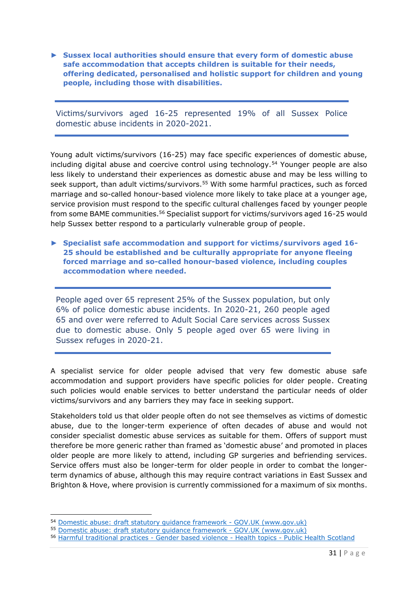► **Sussex local authorities should ensure that every form of domestic abuse safe accommodation that accepts children is suitable for their needs, offering dedicated, personalised and holistic support for children and young people, including those with disabilities.** 

Victims/survivors aged 16-25 represented 19% of all Sussex Police domestic abuse incidents in 2020-2021.

Young adult victims/survivors (16-25) may face specific experiences of domestic abuse, including digital abuse and coercive control using technology.<sup>54</sup> Younger people are also less likely to understand their experiences as domestic abuse and may be less willing to seek support, than adult victims/survivors.<sup>55</sup> With some harmful practices, such as forced marriage and so-called honour-based violence more likely to take place at a younger age, service provision must respond to the specific cultural challenges faced by younger people from some BAME communities.<sup>56</sup> Specialist support for victims/survivors aged 16-25 would help Sussex better respond to a particularly vulnerable group of people.

► **Specialist safe accommodation and support for victims/survivors aged 16- 25 should be established and be culturally appropriate for anyone fleeing forced marriage and so-called honour-based violence, including couples accommodation where needed.** 

People aged over 65 represent 25% of the Sussex population, but only 6% of police domestic abuse incidents. In 2020-21, 260 people aged 65 and over were referred to Adult Social Care services across Sussex due to domestic abuse. Only 5 people aged over 65 were living in Sussex refuges in 2020-21.

A specialist service for older people advised that very few domestic abuse safe accommodation and support providers have specific policies for older people. Creating such policies would enable services to better understand the particular needs of older victims/survivors and any barriers they may face in seeking support.

Stakeholders told us that older people often do not see themselves as victims of domestic abuse, due to the longer-term experience of often decades of abuse and would not consider specialist domestic abuse services as suitable for them. Offers of support must therefore be more generic rather than framed as 'domestic abuse' and promoted in places older people are more likely to attend, including GP surgeries and befriending services. Service offers must also be longer-term for older people in order to combat the longerterm dynamics of abuse, although this may require contract variations in East Sussex and Brighton & Hove, where provision is currently commissioned for a maximum of six months.

<sup>54</sup> [Domestic abuse: draft statutory guidance framework -](https://www.gov.uk/government/consultations/domestic-abuse-act-statutory-guidance/domestic-abuse-draft-statutory-guidance-framework#chapter-2--understanding-domestic-abuse) GOV.UK (www.gov.uk)

<sup>55</sup> [Domestic abuse: draft statutory guidance framework -](https://www.gov.uk/government/consultations/domestic-abuse-act-statutory-guidance/domestic-abuse-draft-statutory-guidance-framework#chapter-2--understanding-domestic-abuse) GOV.UK (www.gov.uk)

<sup>56</sup> [Harmful traditional practices -](http://www.healthscotland.scot/health-topics/gender-based-violence/harmful-traditional-practices) Gender based violence - Health topics - Public Health Scotland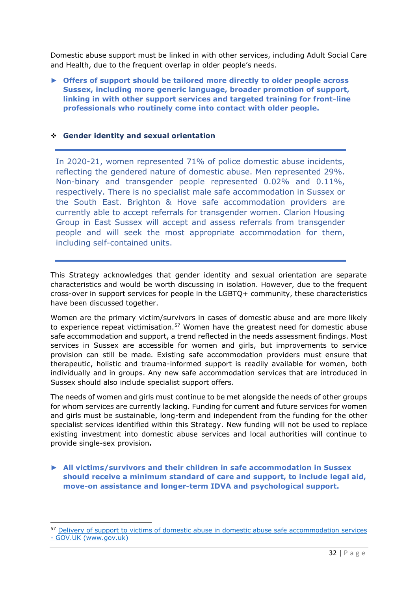Domestic abuse support must be linked in with other services, including Adult Social Care and Health, due to the frequent overlap in older people's needs.

► **Offers of support should be tailored more directly to older people across Sussex, including more generic language, broader promotion of support, linking in with other support services and targeted training for front-line professionals who routinely come into contact with older people.**

#### ❖ **Gender identity and sexual orientation**

In 2020-21, women represented 71% of police domestic abuse incidents, reflecting the gendered nature of domestic abuse. Men represented 29%. Non-binary and transgender people represented 0.02% and 0.11%, respectively. There is no specialist male safe accommodation in Sussex or the South East. Brighton & Hove safe accommodation providers are currently able to accept referrals for transgender women. Clarion Housing Group in East Sussex will accept and assess referrals from transgender people and will seek the most appropriate accommodation for them, including self-contained units.

This Strategy acknowledges that gender identity and sexual orientation are separate characteristics and would be worth discussing in isolation. However, due to the frequent cross-over in support services for people in the LGBTQ+ community, these characteristics have been discussed together.

Women are the primary victim/survivors in cases of domestic abuse and are more likely to experience repeat victimisation.<sup>57</sup> Women have the greatest need for domestic abuse safe accommodation and support, a trend reflected in the needs assessment findings. Most services in Sussex are accessible for women and girls, but improvements to service provision can still be made. Existing safe accommodation providers must ensure that therapeutic, holistic and trauma-informed support is readily available for women, both individually and in groups. Any new safe accommodation services that are introduced in Sussex should also include specialist support offers.

The needs of women and girls must continue to be met alongside the needs of other groups for whom services are currently lacking. Funding for current and future services for women and girls must be sustainable, long-term and independent from the funding for the other specialist services identified within this Strategy. New funding will not be used to replace existing investment into domestic abuse services and local authorities will continue to provide single-sex provision**.**

► **All victims/survivors and their children in safe accommodation in Sussex should receive a minimum standard of care and support, to include legal aid, move-on assistance and longer-term IDVA and psychological support.**

<sup>&</sup>lt;sup>57</sup> Delivery of support to victims of domestic abuse in domestic abuse safe accommodation services - [GOV.UK \(www.gov.uk\)](https://www.gov.uk/government/publications/domestic-abuse-support-within-safe-accommodation/delivery-of-support-to-victims-of-domestic-abuse-in-domestic-abuse-safe-accommodation-services#part-a-key-definitions)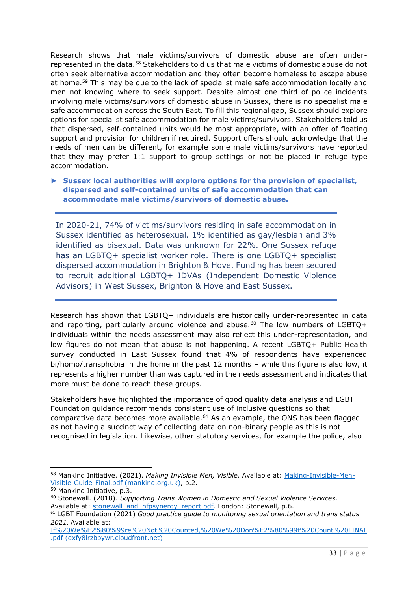Research shows that male victims/survivors of domestic abuse are often underrepresented in the data.<sup>58</sup> Stakeholders told us that male victims of domestic abuse do not often seek alternative accommodation and they often become homeless to escape abuse at home.<sup>59</sup> This may be due to the lack of specialist male safe accommodation locally and men not knowing where to seek support. Despite almost one third of police incidents involving male victims/survivors of domestic abuse in Sussex, there is no specialist male safe accommodation across the South East. To fill this regional gap, Sussex should explore options for specialist safe accommodation for male victims/survivors. Stakeholders told us that dispersed, self-contained units would be most appropriate, with an offer of floating support and provision for children if required. Support offers should acknowledge that the needs of men can be different, for example some male victims/survivors have reported that they may prefer 1:1 support to group settings or not be placed in refuge type accommodation.

► **Sussex local authorities will explore options for the provision of specialist, dispersed and self-contained units of safe accommodation that can accommodate male victims/survivors of domestic abuse.**

In 2020-21, 74% of victims/survivors residing in safe accommodation in Sussex identified as heterosexual. 1% identified as gay/lesbian and 3% identified as bisexual. Data was unknown for 22%. One Sussex refuge has an LGBTQ+ specialist worker role. There is one LGBTQ+ specialist dispersed accommodation in Brighton & Hove. Funding has been secured to recruit additional LGBTQ+ IDVAs (Independent Domestic Violence Advisors) in West Sussex, Brighton & Hove and East Sussex.

Research has shown that LGBTQ+ individuals are historically under-represented in data and reporting, particularly around violence and abuse.<sup>60</sup> The low numbers of LGBTQ+ individuals within the needs assessment may also reflect this under-representation, and low figures do not mean that abuse is not happening. A recent LGBTQ+ Public Health survey conducted in East Sussex found that 4% of respondents have experienced bi/homo/transphobia in the home in the past 12 months – while this figure is also low, it represents a higher number than was captured in the needs assessment and indicates that more must be done to reach these groups.

Stakeholders have highlighted the importance of good quality data analysis and LGBT Foundation guidance recommends consistent use of inclusive questions so that comparative data becomes more available.<sup>61</sup> As an example, the ONS has been flagged as not having a succinct way of collecting data on non-binary people as this is not recognised in legislation. Likewise, other statutory services, for example the police, also

<sup>58</sup> Mankind Initiative. (2021). *Making Invisible Men, Visible.* Available at: [Making-Invisible-Men-](https://www.mankind.org.uk/wp-content/uploads/2021/06/Making-Invisible-Men-Visible-Guide-Final.pdf)[Visible-Guide-Final.pdf \(mankind.org.uk\),](https://www.mankind.org.uk/wp-content/uploads/2021/06/Making-Invisible-Men-Visible-Guide-Final.pdf) p.2.

<sup>59</sup> Mankind Initiative, p.3.

<sup>60</sup> Stonewall. (2018). *Supporting Trans Women in Domestic and Sexual Violence Services*. Available at: [stonewall\\_and\\_nfpsynergy\\_report.pdf.](https://www.stonewall.org.uk/system/files/stonewall_and_nfpsynergy_report.pdf) London: Stonewall, p.6.

<sup>61</sup> LGBT Foundation (2021) *Good practice guide to monitoring sexual orientation and trans status 2021*. Available at:

[If%20We%E2%80%99re%20Not%20Counted,%20We%20Don%E2%80%99t%20Count%20FINAL](https://dxfy8lrzbpywr.cloudfront.net/Files/d1edc08d-1514-4df8-8bf0-ebc97a79e4e0/If%2520We%25E2%2580%2599re%2520Not%2520Counted%2c%2520We%2520Don%25E2%2580%2599t%2520Count%2520FINAL.pdf) [.pdf \(dxfy8lrzbpywr.cloudfront.net\)](https://dxfy8lrzbpywr.cloudfront.net/Files/d1edc08d-1514-4df8-8bf0-ebc97a79e4e0/If%2520We%25E2%2580%2599re%2520Not%2520Counted%2c%2520We%2520Don%25E2%2580%2599t%2520Count%2520FINAL.pdf)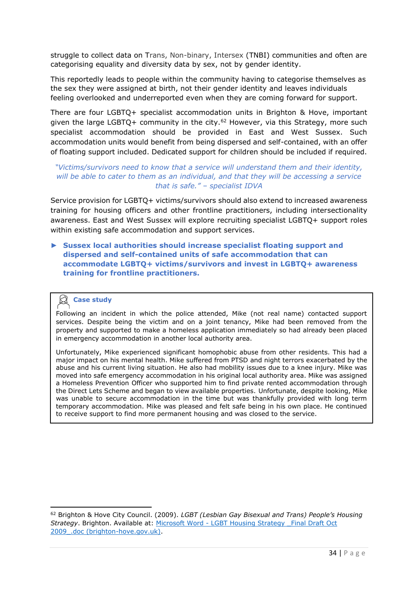struggle to collect data on Trans, Non-binary, Intersex (TNBI) communities and often are categorising equality and diversity data by sex, not by gender identity.

This reportedly leads to people within the community having to categorise themselves as the sex they were assigned at birth, not their gender identity and leaves individuals feeling overlooked and underreported even when they are coming forward for support.

There are four LGBTQ+ specialist accommodation units in Brighton & Hove, important given the large LGBTO+ community in the city.<sup>62</sup> However, via this Strategy, more such specialist accommodation should be provided in East and West Sussex. Such accommodation units would benefit from being dispersed and self-contained, with an offer of floating support included. Dedicated support for children should be included if required.

# *"Victims/survivors need to know that a service will understand them and their identity, will be able to cater to them as an individual, and that they will be accessing a service that is safe." – specialist IDVA*

Service provision for LGBTQ+ victims/survivors should also extend to increased awareness training for housing officers and other frontline practitioners, including intersectionality awareness. East and West Sussex will explore recruiting specialist LGBTQ+ support roles within existing safe accommodation and support services.

► **Sussex local authorities should increase specialist floating support and dispersed and self-contained units of safe accommodation that can accommodate LGBTQ+ victims/survivors and invest in LGBTQ+ awareness training for frontline practitioners.** 

# **Case study**

Following an incident in which the police attended, Mike (not real name) contacted support services. Despite being the victim and on a joint tenancy, Mike had been removed from the property and supported to make a homeless application immediately so had already been placed in emergency accommodation in another local authority area.

Unfortunately, Mike experienced significant homophobic abuse from other residents. This had a major impact on his mental health. Mike suffered from PTSD and night terrors exacerbated by the abuse and his current living situation. He also had mobility issues due to a knee injury. Mike was moved into safe emergency accommodation in his original local authority area. Mike was assigned a Homeless Prevention Officer who supported him to find private rented accommodation through the Direct Lets Scheme and began to view available properties. Unfortunate, despite looking, Mike was unable to secure accommodation in the time but was thankfully provided with long term temporary accommodation. Mike was pleased and felt safe being in his own place. He continued to receive support to find more permanent housing and was closed to the service.

<sup>62</sup> Brighton & Hove City Council. (2009). *LGBT (Lesbian Gay Bisexual and Trans) People's Housing Strategy*. Brighton. Available at: Microsoft Word - [LGBT Housing Strategy \\_Final Draft Oct](https://ww3.brighton-hove.gov.uk/sites/brighton-hove.gov.uk/files/LGBT%20Housing%20Strategy.pdf)  2009 .doc (brighton-hove.gov.uk).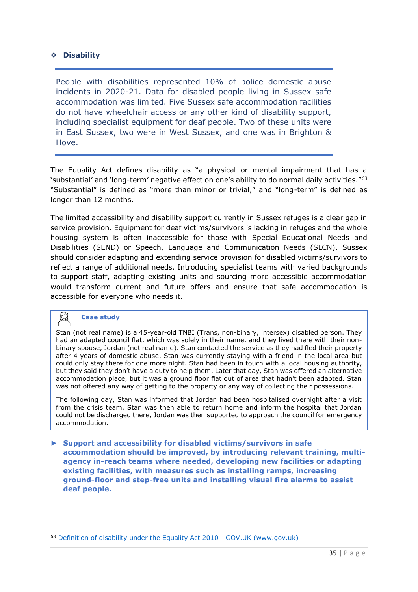## ❖ **Disability**

People with disabilities represented 10% of police domestic abuse incidents in 2020-21. Data for disabled people living in Sussex safe accommodation was limited. Five Sussex safe accommodation facilities do not have wheelchair access or any other kind of disability support, including specialist equipment for deaf people. Two of these units were in East Sussex, two were in West Sussex, and one was in Brighton & Hove.

The Equality Act defines disability as "a physical or mental impairment that has a 'substantial' and 'long-term' negative effect on one's ability to do normal daily activities."<sup>63</sup> "Substantial" is defined as "more than minor or trivial," and "long-term" is defined as longer than 12 months.

The limited accessibility and disability support currently in Sussex refuges is a clear gap in service provision. Equipment for deaf victims/survivors is lacking in refuges and the whole housing system is often inaccessible for those with Special Educational Needs and Disabilities (SEND) or Speech, Language and Communication Needs (SLCN). Sussex should consider adapting and extending service provision for disabled victims/survivors to reflect a range of additional needs. Introducing specialist teams with varied backgrounds to support staff, adapting existing units and sourcing more accessible accommodation would transform current and future offers and ensure that safe accommodation is accessible for everyone who needs it.

#### ⊠ **Case study**

Stan (not real name) is a 45-year-old TNBI (Trans, non-binary, intersex) disabled person. They had an adapted council flat, which was solely in their name, and they lived there with their nonbinary spouse, Jordan (not real name). Stan contacted the service as they had fled their property after 4 years of domestic abuse. Stan was currently staying with a friend in the local area but could only stay there for one more night. Stan had been in touch with a local housing authority, but they said they don't have a duty to help them. Later that day, Stan was offered an alternative accommodation place, but it was a ground floor flat out of area that hadn't been adapted. Stan was not offered any way of getting to the property or any way of collecting their possessions.

The following day, Stan was informed that Jordan had been hospitalised overnight after a visit from the crisis team. Stan was then able to return home and inform the hospital that Jordan could not be discharged there, Jordan was then supported to approach the council for emergency accommodation.

► **Support and accessibility for disabled victims/survivors in safe accommodation should be improved, by introducing relevant training, multiagency in-reach teams where needed, developing new facilities or adapting existing facilities, with measures such as installing ramps, increasing ground-floor and step-free units and installing visual fire alarms to assist deaf people.**

<sup>63</sup> [Definition of disability under the Equality Act 2010 -](https://www.gov.uk/definition-of-disability-under-equality-act-2010) GOV.UK (www.gov.uk)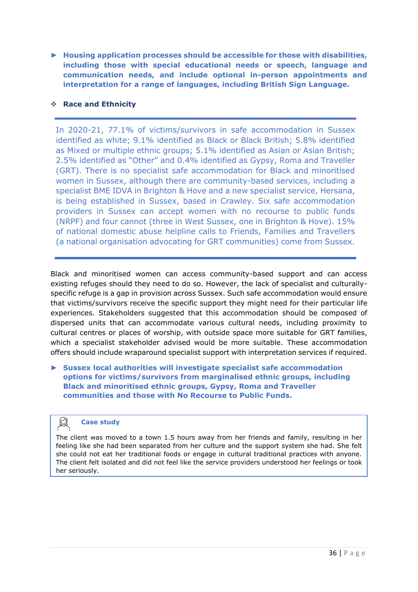► **Housing application processes should be accessible for those with disabilities, including those with special educational needs or speech, language and communication needs, and include optional in-person appointments and interpretation for a range of languages, including British Sign Language.** 

# ❖ **Race and Ethnicity**

In 2020-21, 77.1% of victims/survivors in safe accommodation in Sussex identified as white; 9.1% identified as Black or Black British; 5.8% identified as Mixed or multiple ethnic groups; 5.1% identified as Asian or Asian British; 2.5% identified as "Other" and 0.4% identified as Gypsy, Roma and Traveller (GRT). There is no specialist safe accommodation for Black and minoritised women in Sussex, although there are community-based services, including a specialist BME IDVA in Brighton & Hove and a new specialist service, Hersana, is being established in Sussex, based in Crawley. Six safe accommodation providers in Sussex can accept women with no recourse to public funds (NRPF) and four cannot (three in West Sussex, one in Brighton & Hove). 15% of national domestic abuse helpline calls to Friends, Families and Travellers (a national organisation advocating for GRT communities) come from Sussex.

Black and minoritised women can access community-based support and can access existing refuges should they need to do so. However, the lack of specialist and culturallyspecific refuge is a gap in provision across Sussex. Such safe accommodation would ensure that victims/survivors receive the specific support they might need for their particular life experiences. Stakeholders suggested that this accommodation should be composed of dispersed units that can accommodate various cultural needs, including proximity to cultural centres or places of worship, with outside space more suitable for GRT families, which a specialist stakeholder advised would be more suitable. These accommodation offers should include wraparound specialist support with interpretation services if required.

► **Sussex local authorities will investigate specialist safe accommodation options for victims/survivors from marginalised ethnic groups, including Black and minoritised ethnic groups, Gypsy, Roma and Traveller communities and those with No Recourse to Public Funds.** 

# **Case study**

The client was moved to a town 1.5 hours away from her friends and family, resulting in her feeling like she had been separated from her culture and the support system she had. She felt she could not eat her traditional foods or engage in cultural traditional practices with anyone. The client felt isolated and did not feel like the service providers understood her feelings or took her seriously.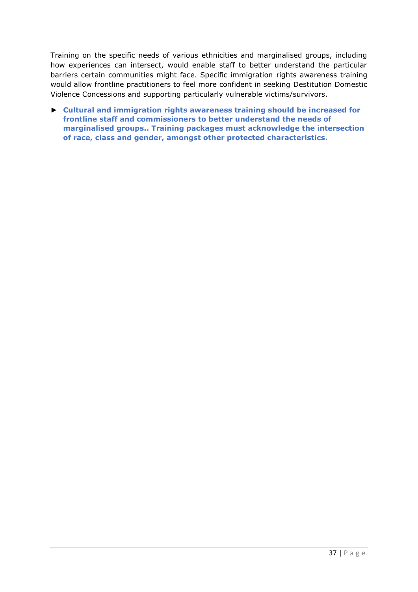Training on the specific needs of various ethnicities and marginalised groups, including how experiences can intersect, would enable staff to better understand the particular barriers certain communities might face. Specific immigration rights awareness training would allow frontline practitioners to feel more confident in seeking Destitution Domestic Violence Concessions and supporting particularly vulnerable victims/survivors.

► **Cultural and immigration rights awareness training should be increased for frontline staff and commissioners to better understand the needs of marginalised groups.. Training packages must acknowledge the intersection of race, class and gender, amongst other protected characteristics.**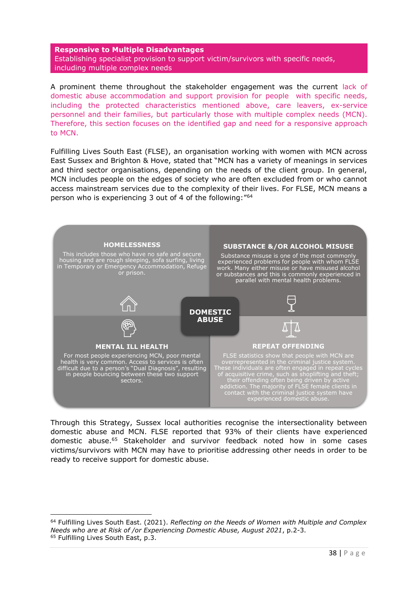<span id="page-37-0"></span>**Responsive to Multiple Disadvantages** Establishing specialist provision to support victim/survivors with specific needs, including multiple complex needs

A prominent theme throughout the stakeholder engagement was the current lack of domestic abuse accommodation and support provision for people with specific needs, including the protected characteristics mentioned above, care leavers, ex-service personnel and their families, but particularly those with multiple complex needs (MCN). Therefore, this section focuses on the identified gap and need for a responsive approach to MCN.

Fulfilling Lives South East (FLSE), an organisation working with women with MCN across East Sussex and Brighton & Hove, stated that "MCN has a variety of meanings in services and third sector organisations, depending on the needs of the client group. In general, MCN includes people on the edges of society who are often excluded from or who cannot access mainstream services due to the complexity of their lives. For FLSE, MCN means a person who is experiencing 3 out of 4 of the following:"<sup>64</sup>



Through this Strategy, Sussex local authorities recognise the intersectionality between domestic abuse and MCN. FLSE reported that 93% of their clients have experienced domestic abuse.<sup>65</sup> Stakeholder and survivor feedback noted how in some cases victims/survivors with MCN may have to prioritise addressing other needs in order to be ready to receive support for domestic abuse.

<sup>64</sup> Fulfilling Lives South East. (2021). *Reflecting on the Needs of Women with Multiple and Complex Needs who are at Risk of /or Experiencing Domestic Abuse, August 2021*, p.2-3. <sup>65</sup> Fulfilling Lives South East, p.3.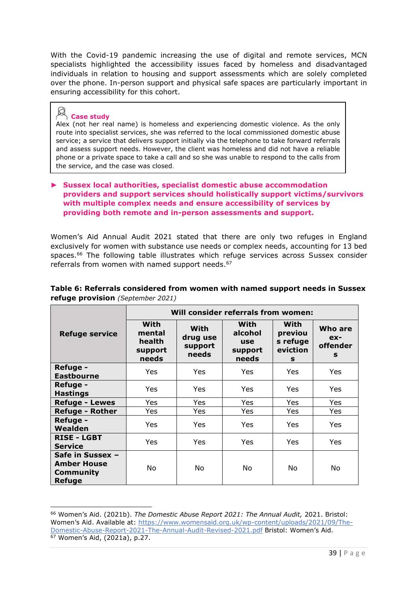With the Covid-19 pandemic increasing the use of digital and remote services, MCN specialists highlighted the accessibility issues faced by homeless and disadvantaged individuals in relation to housing and support assessments which are solely completed over the phone. In-person support and physical safe spaces are particularly important in ensuring accessibility for this cohort.

# **Case study**

Alex (not her real name) is homeless and experiencing domestic violence. As the only route into specialist services, she was referred to the local commissioned domestic abuse service; a service that delivers support initially via the telephone to take forward referrals and assess support needs. However, the client was homeless and did not have a reliable phone or a private space to take a call and so she was unable to respond to the calls from the service, and the case was closed.

# ► **Sussex local authorities, specialist domestic abuse accommodation providers and support services should holistically support victims/survivors with multiple complex needs and ensure accessibility of services by providing both remote and in-person assessments and support.**

Women's Aid Annual Audit 2021 stated that there are only two refuges in England exclusively for women with substance use needs or complex needs, accounting for 13 bed spaces. <sup>66</sup> The following table illustrates which refuge services across Sussex consider referrals from women with named support needs. 67

|                                                                      | Will consider referrals from women:          |                                      |                                            |                                              |                                   |
|----------------------------------------------------------------------|----------------------------------------------|--------------------------------------|--------------------------------------------|----------------------------------------------|-----------------------------------|
| <b>Refuge service</b>                                                | With<br>mental<br>health<br>support<br>needs | With<br>drug use<br>support<br>needs | With<br>alcohol<br>use<br>support<br>needs | With<br>previou<br>s refuge<br>eviction<br>s | Who are<br>$ex-$<br>offender<br>s |
| <b>Refuge -</b><br><b>Eastbourne</b>                                 | <b>Yes</b>                                   | Yes                                  | Yes.                                       | Yes                                          | Yes.                              |
| <b>Refuge -</b><br><b>Hastings</b>                                   | Yes                                          | Yes                                  | Yes                                        | Yes                                          | Yes.                              |
| <b>Refuge - Lewes</b>                                                | Yes                                          | Yes                                  | Yes.                                       | Yes                                          | Yes                               |
| <b>Refuge - Rother</b>                                               | Yes                                          | Yes                                  | Yes.                                       | Yes.                                         | Yes                               |
| <b>Refuge -</b><br>Wealden                                           | <b>Yes</b>                                   | Yes                                  | Yes                                        | <b>Yes</b>                                   | Yes                               |
| <b>RISE - LGBT</b><br><b>Service</b>                                 | Yes                                          | Yes                                  | Yes                                        | Yes                                          | Yes.                              |
| Safe in Sussex -<br><b>Amber House</b><br>Community<br><b>Refuge</b> | No.                                          | No.                                  | No.                                        | No.                                          | No.                               |

# **Table 6: Referrals considered from women with named support needs in Sussex refuge provision** *(September 2021)*

<sup>66</sup> Women's Aid. (2021b). *The Domestic Abuse Report 2021: The Annual Audit,* 2021. Bristol: Women's Aid. Available at: [https://www.womensaid.org.uk/wp-content/uploads/2021/09/The-](https://www.womensaid.org.uk/wp-content/uploads/2021/09/The-Domestic-Abuse-Report-2021-The-Annual-Audit-Revised-2021.pdf)[Domestic-Abuse-Report-2021-The-Annual-Audit-Revised-2021.pdf](https://www.womensaid.org.uk/wp-content/uploads/2021/09/The-Domestic-Abuse-Report-2021-The-Annual-Audit-Revised-2021.pdf) Bristol: Women's Aid. <sup>67</sup> Women's Aid, (2021a), p.27.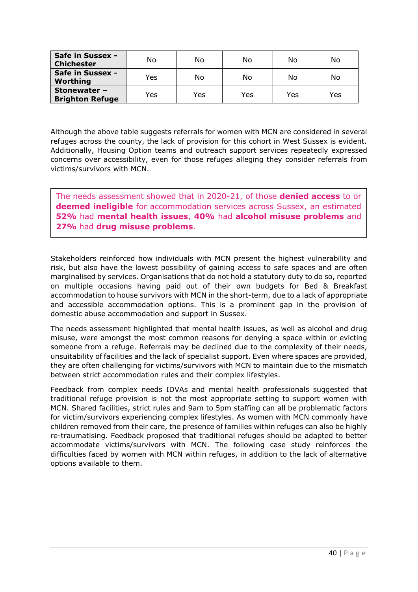| Safe in Sussex -<br><b>Chichester</b>  | No  | No  | No  | No  | No  |
|----------------------------------------|-----|-----|-----|-----|-----|
| Safe in Sussex -<br>Worthing           | Yes | No  | No  | No  | No  |
| Stonewater -<br><b>Brighton Refuge</b> | Yes | Yes | Yes | Yes | Yes |

Although the above table suggests referrals for women with MCN are considered in several refuges across the county, the lack of provision for this cohort in West Sussex is evident. Additionally, Housing Option teams and outreach support services repeatedly expressed concerns over accessibility, even for those refuges alleging they consider referrals from victims/survivors with MCN.

The needs assessment showed that in 2020-21, of those **denied access** to or **deemed ineligible** for accommodation services across Sussex, an estimated **52%** had **mental health issues**, **40%** had **alcohol misuse problems** and **27%** had **drug misuse problems**.

Stakeholders reinforced how individuals with MCN present the highest vulnerability and risk, but also have the lowest possibility of gaining access to safe spaces and are often marginalised by services. Organisations that do not hold a statutory duty to do so, reported on multiple occasions having paid out of their own budgets for Bed & Breakfast accommodation to house survivors with MCN in the short-term, due to a lack of appropriate and accessible accommodation options. This is a prominent gap in the provision of domestic abuse accommodation and support in Sussex.

The needs assessment highlighted that mental health issues, as well as alcohol and drug misuse, were amongst the most common reasons for denying a space within or evicting someone from a refuge. Referrals may be declined due to the complexity of their needs, unsuitability of facilities and the lack of specialist support. Even where spaces are provided, they are often challenging for victims/survivors with MCN to maintain due to the mismatch between strict accommodation rules and their complex lifestyles.

Feedback from complex needs IDVAs and mental health professionals suggested that traditional refuge provision is not the most appropriate setting to support women with MCN. Shared facilities, strict rules and 9am to 5pm staffing can all be problematic factors for victim/survivors experiencing complex lifestyles. As women with MCN commonly have children removed from their care, the presence of families within refuges can also be highly re-traumatising. Feedback proposed that traditional refuges should be adapted to better accommodate victims/survivors with MCN. The following case study reinforces the difficulties faced by women with MCN within refuges, in addition to the lack of alternative options available to them.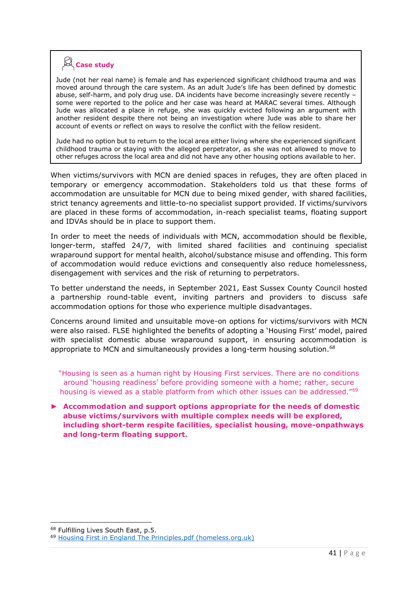# **Case study**

Jude (not her real name) is female and has experienced significant childhood trauma and was moved around through the care system. As an adult Jude's life has been defined by domestic abuse, self-harm, and poly drug use. DA incidents have become increasingly severe recently – some were reported to the police and her case was heard at MARAC several times. Although Jude was allocated a place in refuge, she was quickly evicted following an argument with another resident despite there not being an investigation where Jude was able to share her account of events or reflect on ways to resolve the conflict with the fellow resident.

Jude had no option but to return to the local area either living where she experienced significant childhood trauma or staying with the alleged perpetrator, as she was not allowed to move to other refuges across the local area and did not have any other housing options available to her.

When victims/survivors with MCN are denied spaces in refuges, they are often placed in temporary or emergency accommodation. Stakeholders told us that these forms of accommodation are unsuitable for MCN due to being mixed gender, with shared facilities, strict tenancy agreements and little-to-no specialist support provided. If victims/survivors are placed in these forms of accommodation, in-reach specialist teams, floating support and IDVAs should be in place to support them.

In order to meet the needs of individuals with MCN, accommodation should be flexible, longer-term, staffed 24/7, with limited shared facilities and continuing specialist wraparound support for mental health, alcohol/substance misuse and offending. This form of accommodation would reduce evictions and consequently also reduce homelessness, disengagement with services and the risk of returning to perpetrators.

To better understand the needs, in September 2021, East Sussex County Council hosted a partnership round-table event, inviting partners and providers to discuss safe accommodation options for those who experience multiple disadvantages.

Concerns around limited and unsuitable move-on options for victims/survivors with MCN were also raised. FLSE highlighted the benefits of adopting a 'Housing First' model, paired with specialist domestic abuse wraparound support, in ensuring accommodation is appropriate to MCN and simultaneously provides a long-term housing solution.*<sup>68</sup>*

"Housing is seen as a human right by Housing First services. There are no conditions around 'housing readiness' before providing someone with a home; rather, secure housing is viewed as a stable platform from which other issues can be addressed."<sup>69</sup>

► **Accommodation and support options appropriate for the needs of domestic abuse victims/survivors with multiple complex needs will be explored, including short-term respite facilities, specialist housing, move-onpathways and long-term floating support.**

<sup>&</sup>lt;sup>68</sup> Fulfilling Lives South East, p.5.

<sup>69</sup> [Housing First in England The Principles.pdf \(homeless.org.uk\)](https://www.homeless.org.uk/sites/default/files/site-attachments/Housing%20First%20in%20England%20The%20Principles.pdf)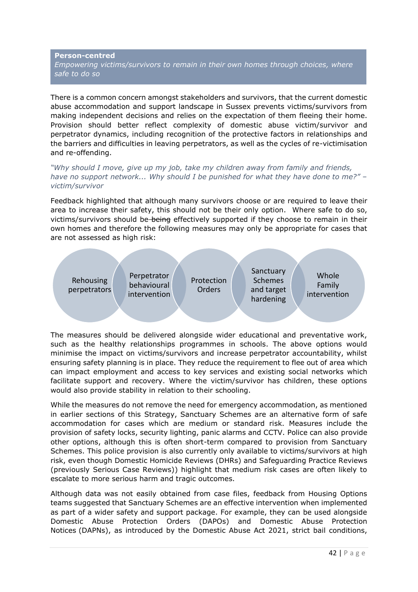# <span id="page-41-0"></span>**Person-centred**  *Empowering victims/survivors to remain in their own homes through choices, where safe to do so*

There is a common concern amongst stakeholders and survivors, that the current domestic abuse accommodation and support landscape in Sussex prevents victims/survivors from making independent decisions and relies on the expectation of them fleeing their home. Provision should better reflect complexity of domestic abuse victim/survivor and perpetrator dynamics, including recognition of the protective factors in relationships and the barriers and difficulties in leaving perpetrators, as well as the cycles of re-victimisation and re-offending.

*"Why should I move, give up my job, take my children away from family and friends, have no support network... Why should I be punished for what they have done to me?" – victim/survivor*

Feedback highlighted that although many survivors choose or are required to leave their area to increase their safety, this should not be their only option. Where safe to do so, victims/survivors should be-being effectively supported if they choose to remain in their own homes and therefore the following measures may only be appropriate for cases that are not assessed as high risk:



The measures should be delivered alongside wider educational and preventative work, such as the healthy relationships programmes in schools. The above options would minimise the impact on victims/survivors and increase perpetrator accountability, whilst ensuring safety planning is in place. They reduce the requirement to flee out of area which can impact employment and access to key services and existing social networks which facilitate support and recovery. Where the victim/survivor has children, these options would also provide stability in relation to their schooling.

While the measures do not remove the need for emergency accommodation, as mentioned in earlier sections of this Strategy, Sanctuary Schemes are an alternative form of safe accommodation for cases which are medium or standard risk. Measures include the provision of safety locks, security lighting, panic alarms and CCTV. Police can also provide other options, although this is often short-term compared to provision from Sanctuary Schemes. This police provision is also currently only available to victims/survivors at high risk, even though Domestic Homicide Reviews (DHRs) and Safeguarding Practice Reviews (previously Serious Case Reviews)) highlight that medium risk cases are often likely to escalate to more serious harm and tragic outcomes.

Although data was not easily obtained from case files, feedback from Housing Options teams suggested that Sanctuary Schemes are an effective intervention when implemented as part of a wider safety and support package. For example, they can be used alongside Domestic Abuse Protection Orders (DAPOs) and Domestic Abuse Protection Notices (DAPNs), as introduced by the Domestic Abuse Act 2021, strict bail conditions,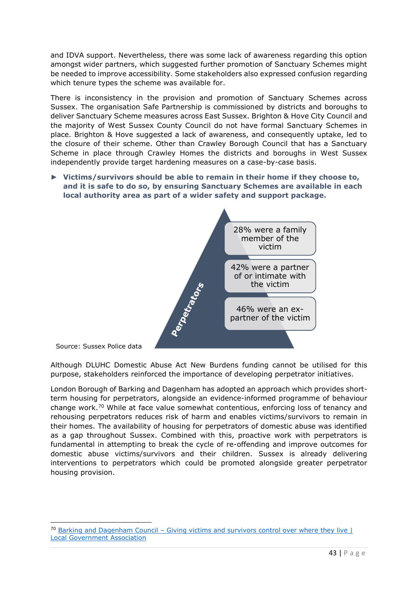and IDVA support. Nevertheless, there was some lack of awareness regarding this option amongst wider partners, which suggested further promotion of Sanctuary Schemes might be needed to improve accessibility. Some stakeholders also expressed confusion regarding which tenure types the scheme was available for.

There is inconsistency in the provision and promotion of Sanctuary Schemes across Sussex. The organisation Safe Partnership is commissioned by districts and boroughs to deliver Sanctuary Scheme measures across East Sussex. Brighton & Hove City Council and the majority of West Sussex County Council do not have formal Sanctuary Schemes in place. Brighton & Hove suggested a lack of awareness, and consequently uptake, led to the closure of their scheme. Other than Crawley Borough Council that has a Sanctuary Scheme in place through Crawley Homes the districts and boroughs in West Sussex independently provide target hardening measures on a case-by-case basis.

► **Victims/survivors should be able to remain in their home if they choose to, and it is safe to do so, by ensuring Sanctuary Schemes are available in each local authority area as part of a wider safety and support package.**



Source: Sussex Police data

Although DLUHC Domestic Abuse Act New Burdens funding cannot be utilised for this purpose, stakeholders reinforced the importance of developing perpetrator initiatives.

London Borough of Barking and Dagenham has adopted an approach which provides shortterm housing for perpetrators, alongside an evidence-informed programme of behaviour change work.<sup>70</sup> While at face value somewhat contentious, enforcing loss of tenancy and rehousing perpetrators reduces risk of harm and enables victims/survivors to remain in their homes. The availability of housing for perpetrators of domestic abuse was identified as a gap throughout Sussex. Combined with this, proactive work with perpetrators is fundamental in attempting to break the cycle of re-offending and improve outcomes for domestic abuse victims/survivors and their children. Sussex is already delivering interventions to perpetrators which could be promoted alongside greater perpetrator housing provision.

 $70$  Barking and Dagenham Council – Giving victims and survivors control over where they live  $\vert$ [Local Government Association](https://www.local.gov.uk/case-studies/barking-and-dagenham-council-giving-victims-and-survivors-control-over-where-they-live)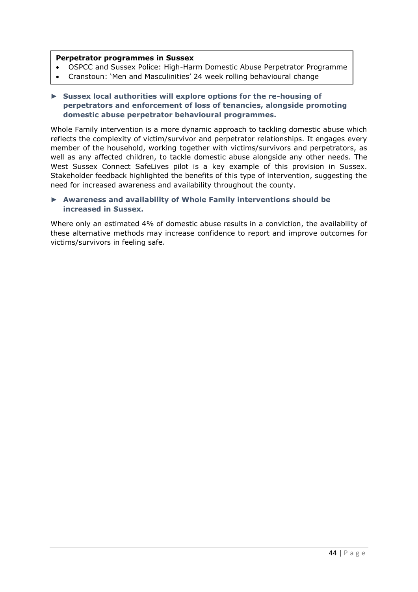#### **Perpetrator programmes in Sussex**

programme and the state of the state of the state of the state of the state of the state of the state of the s

- OSPCC and Sussex Police: High-Harm Domestic Abuse Perpetrator Programme
- Cranstoun: 'Men and Masculinities' 24 week rolling behavioural change

# ► **Sussex local authorities will explore options for the re-housing of perpetrators and enforcement of loss of tenancies, alongside promoting domestic abuse perpetrator behavioural programmes.**

Whole Family intervention is a more dynamic approach to tackling domestic abuse which reflects the complexity of victim/survivor and perpetrator relationships. It engages every member of the household, working together with victims/survivors and perpetrators, as well as any affected children, to tackle domestic abuse alongside any other needs. The West Sussex Connect SafeLives pilot is a key example of this provision in Sussex. Stakeholder feedback highlighted the benefits of this type of intervention, suggesting the need for increased awareness and availability throughout the county.

# ► **Awareness and availability of Whole Family interventions should be increased in Sussex.**

Where only an estimated 4% of domestic abuse results in a conviction, the availability of these alternative methods may increase confidence to report and improve outcomes for victims/survivors in feeling safe.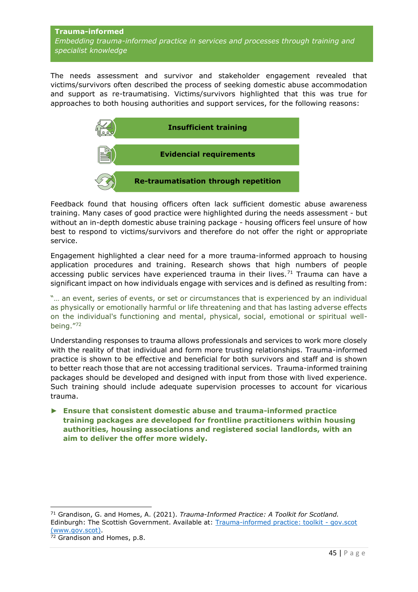# <span id="page-44-0"></span>**Trauma-informed** *Embedding trauma-informed practice in services and processes through training and specialist knowledge*

The needs assessment and survivor and stakeholder engagement revealed that victims/survivors often described the process of seeking domestic abuse accommodation and support as re-traumatising. Victims/survivors highlighted that this was true for approaches to both housing authorities and support services, for the following reasons:



Feedback found that housing officers often lack sufficient domestic abuse awareness training. Many cases of good practice were highlighted during the needs assessment - but without an in-depth domestic abuse training package - housing officers feel unsure of how best to respond to victims/survivors and therefore do not offer the right or appropriate service.

Engagement highlighted a clear need for a more trauma-informed approach to housing application procedures and training. Research shows that high numbers of people accessing public services have experienced trauma in their lives.<sup>71</sup> Trauma can have a significant impact on how individuals engage with services and is defined as resulting from:

"… an event, series of events, or set or circumstances that is experienced by an individual as physically or emotionally harmful or life threatening and that has lasting adverse effects on the individual's functioning and mental, physical, social, emotional or spiritual wellbeing." 72

Understanding responses to trauma allows professionals and services to work more closely with the reality of that individual and form more trusting relationships. Trauma-informed practice is shown to be effective and beneficial for both survivors and staff and is shown to better reach those that are not accessing traditional services. Trauma-informed training packages should be developed and designed with input from those with lived experience. Such training should include adequate supervision processes to account for vicarious trauma.

► **Ensure that consistent domestic abuse and trauma-informed practice training packages are developed for frontline practitioners within housing authorities, housing associations and registered social landlords, with an aim to deliver the offer more widely.**

<sup>71</sup> Grandison, G. and Homes, A. (2021). *Trauma-Informed Practice: A Toolkit for Scotland.* Edinburgh: The Scottish Government. Available at: [Trauma-informed practice: toolkit -](https://www.gov.scot/publications/trauma-informed-practice-toolkit-scotland/) gov.scot [\(www.gov.scot\).](https://www.gov.scot/publications/trauma-informed-practice-toolkit-scotland/)

<sup>72</sup> Grandison and Homes, p.8.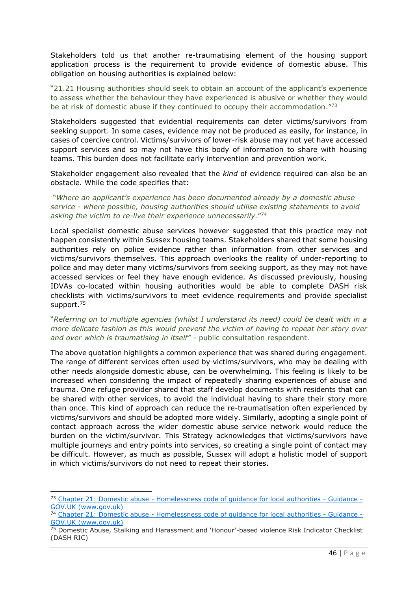Stakeholders told us that another re-traumatising element of the housing support application process is the requirement to provide evidence of domestic abuse. This obligation on housing authorities is explained below:

"21.21 Housing authorities should seek to obtain an account of the applicant's experience to assess whether the behaviour they have experienced is abusive or whether they would be at risk of domestic abuse if they continued to occupy their accommodation."73

Stakeholders suggested that evidential requirements can deter victims/survivors from seeking support. In some cases, evidence may not be produced as easily, for instance, in cases of coercive control. Victims/survivors of lower-risk abuse may not yet have accessed support services and so may not have this body of information to share with housing teams. This burden does not facilitate early intervention and prevention work.

Stakeholder engagement also revealed that the *kind* of evidence required can also be an obstacle. While the code specifies that:

"*Where an applicant's experience has been documented already by a domestic abuse service - where possible, housing authorities should utilise existing statements to avoid asking the victim to re-live their experience unnecessarily.*" 74

Local specialist domestic abuse services however suggested that this practice may not happen consistently within Sussex housing teams. Stakeholders shared that some housing authorities rely on police evidence rather than information from other services and victims/survivors themselves. This approach overlooks the reality of under-reporting to police and may deter many victims/survivors from seeking support, as they may not have accessed services or feel they have enough evidence. As discussed previously, housing IDVAs co-located within housing authorities would be able to complete DASH risk checklists with victims/survivors to meet evidence requirements and provide specialist support.<sup>75</sup>

# "*Referring on to multiple agencies (whilst I understand its need) could be dealt with in a more delicate fashion as this would prevent the victim of having to repeat her story over and over which is traumatising in itself"* - public consultation respondent.

The above quotation highlights a common experience that was shared during engagement. The range of different services often used by victims/survivors, who may be dealing with other needs alongside domestic abuse, can be overwhelming. This feeling is likely to be increased when considering the impact of repeatedly sharing experiences of abuse and trauma. One refuge provider shared that staff develop documents with residents that can be shared with other services, to avoid the individual having to share their story more than once. This kind of approach can reduce the re-traumatisation often experienced by victims/survivors and should be adopted more widely. Similarly, adopting a single point of contact approach across the wider domestic abuse service network would reduce the burden on the victim/survivor. This Strategy acknowledges that victims/survivors have multiple journeys and entry points into services, so creating a single point of contact may be difficult. However, as much as possible, Sussex will adopt a holistic model of support in which victims/survivors do not need to repeat their stories.

<sup>73</sup> Chapter 21: Domestic abuse - Homelessness code of guidance for local authorities - Guidance - GOV.UK (www.gov.uk)

<sup>74</sup> Chapter 21: Domestic abuse - Homelessness code of guidance for local authorities - Guidance - GOV.UK (www.gov.uk)

<sup>75</sup> Domestic Abuse, Stalking and Harassment and 'Honour'-based violence Risk Indicator Checklist (DASH RIC)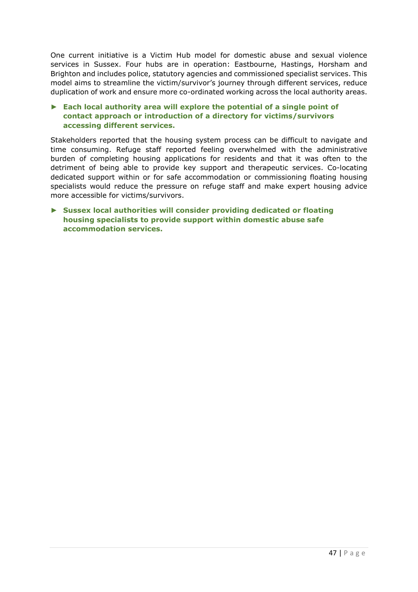One current initiative is a Victim Hub model for domestic abuse and sexual violence services in Sussex. Four hubs are in operation: Eastbourne, Hastings, Horsham and Brighton and includes police, statutory agencies and commissioned specialist services. This model aims to streamline the victim/survivor's journey through different services, reduce duplication of work and ensure more co-ordinated working across the local authority areas.

# ► **Each local authority area will explore the potential of a single point of contact approach or introduction of a directory for victims/survivors accessing different services.**

Stakeholders reported that the housing system process can be difficult to navigate and time consuming. Refuge staff reported feeling overwhelmed with the administrative burden of completing housing applications for residents and that it was often to the detriment of being able to provide key support and therapeutic services. Co-locating dedicated support within or for safe accommodation or commissioning floating housing specialists would reduce the pressure on refuge staff and make expert housing advice more accessible for victims/survivors.

► **Sussex local authorities will consider providing dedicated or floating housing specialists to provide support within domestic abuse safe accommodation services.**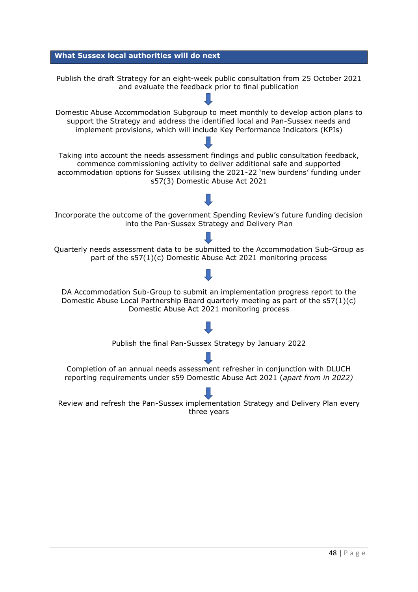<span id="page-47-0"></span>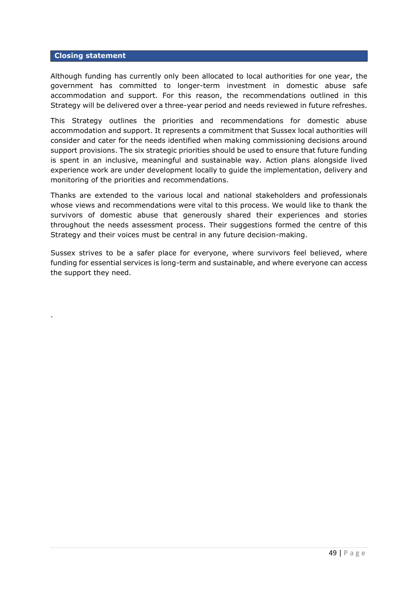#### <span id="page-48-0"></span>**Closing statement**

.

Although funding has currently only been allocated to local authorities for one year, the government has committed to longer-term investment in domestic abuse safe accommodation and support. For this reason, the recommendations outlined in this Strategy will be delivered over a three-year period and needs reviewed in future refreshes.

This Strategy outlines the priorities and recommendations for domestic abuse accommodation and support. It represents a commitment that Sussex local authorities will consider and cater for the needs identified when making commissioning decisions around support provisions. The six strategic priorities should be used to ensure that future funding is spent in an inclusive, meaningful and sustainable way. Action plans alongside lived experience work are under development locally to guide the implementation, delivery and monitoring of the priorities and recommendations.

Thanks are extended to the various local and national stakeholders and professionals whose views and recommendations were vital to this process. We would like to thank the survivors of domestic abuse that generously shared their experiences and stories throughout the needs assessment process. Their suggestions formed the centre of this Strategy and their voices must be central in any future decision-making.

Sussex strives to be a safer place for everyone, where survivors feel believed, where funding for essential services is long-term and sustainable, and where everyone can access the support they need.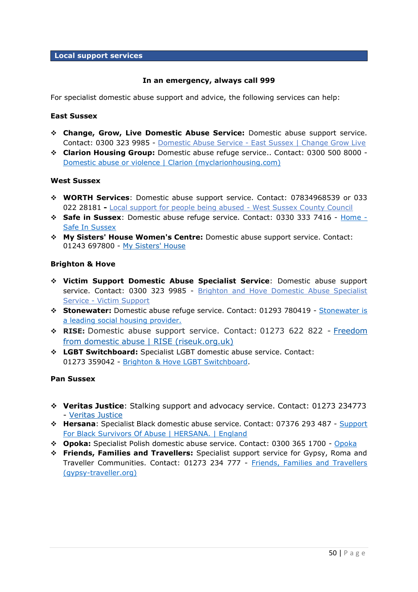#### <span id="page-49-0"></span>**Local support services**

# **In an emergency, always call 999**

For specialist domestic abuse support and advice, the following services can help:

#### **East Sussex**

- ❖ **Change, Grow, Live Domestic Abuse Service:** Domestic abuse support service. Contact: 0300 323 9985 - Domestic Abuse Service - [East Sussex | Change Grow Live](https://www.changegrowlive.org/domestic-abuse-service-east-sussex/info)
- ❖ **Clarion Housing Group:** Domestic abuse refuge service.. Contact: 0300 500 8000 [Domestic abuse or violence | Clarion \(myclarionhousing.com\)](https://www.myclarionhousing.com/help-and-guidance/personal-wellbeing/domestic-abuse-or-violence)

# **West Sussex**

- ❖ **WORTH Services**: Domestic abuse support service. Contact: 07834968539 or 033 022 28181 **-** [Local support for people being abused -](https://www.westsussex.gov.uk/fire-emergencies-and-crime/domestic-abuse/local-support-for-people-being-abused/) West Sussex County Council
- ❖ **Safe in Sussex**: Domestic abuse refuge service. Contact: 0330 333 7416 [Home -](https://www.safeinsussex.co.uk/) [Safe In Sussex](https://www.safeinsussex.co.uk/)
- ❖ **My Sisters' House Women's Centre:** Domestic abuse support service. Contact: 01243 697800 - [My Sisters' House](https://www.mysistershouse.info/)

#### **Brighton & Hove**

- ❖ **Victim Support Domestic Abuse Specialist Service**: Domestic abuse support service. Contact: 0300 323 9985 - Brighton and Hove Domestic Abuse Specialist Service - [Victim Support](https://www.victimsupport.org.uk/resources/brighton-and-hove-domestic-abuse-specialist-service/)
- ❖ **Stonewater:** Domestic abuse refuge service. Contact: 01293 780419 [Stonewater is](https://www.stonewater.org/)  [a leading social housing provider.](https://www.stonewater.org/)
- ❖ **RISE:** Domestic abuse support service. Contact: 01273 622 822 [Freedom](https://www.riseuk.org.uk/)  [from domestic abuse | RISE \(riseuk.org.uk\)](https://www.riseuk.org.uk/)
- ❖ **LGBT Switchboard:** Specialist LGBT domestic abuse service. Contact: 01273 359042 - [Brighton & Hove LGBT Switchboard.](https://www.switchboard.org.uk/)

#### **Pan Sussex**

- ❖ **Veritas Justice**: Stalking support and advocacy service. Contact: 01273 234773 - [Veritas Justice](https://veritas-justice.co.uk/contact/)
- ❖ **Hersana**: Specialist Black domestic abuse service. Contact: 07376 293 487 [Support](https://www.hersana.org/)  [For Black Survivors Of Abuse | HERSANA. | England](https://www.hersana.org/)
- ❖ **Opoka:** Specialist Polish domestic abuse service. Contact: 0300 365 1700 [Opoka](https://www.opoka.org.uk/)
- ❖ **Friends, Families and Travellers:** Specialist support service for Gypsy, Roma and Traveller Communities. Contact: 01273 234 777 - [Friends, Families and Travellers](https://www.gypsy-traveller.org/)  [\(gypsy-traveller.org\)](https://www.gypsy-traveller.org/)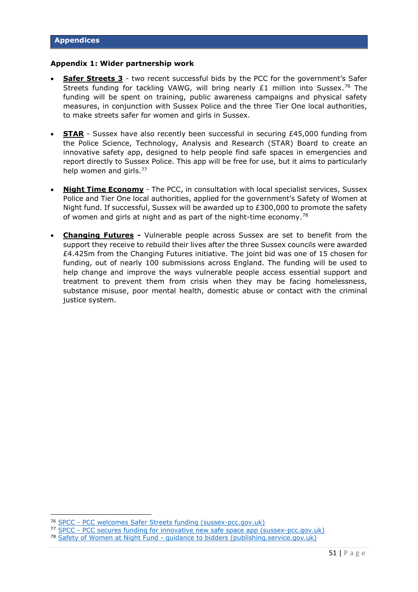#### <span id="page-50-0"></span>**Appendix 1: Wider partnership work**

- **Safer Streets 3** two recent successful bids by the PCC for the government's Safer Streets funding for tackling VAWG, will bring nearly £1 million into Sussex.<sup>76</sup> The funding will be spent on training, public awareness campaigns and physical safety measures, in conjunction with Sussex Police and the three Tier One local authorities, to make streets safer for women and girls in Sussex.
- **STAR** Sussex have also recently been successful in securing £45,000 funding from the Police Science, Technology, Analysis and Research (STAR) Board to create an innovative safety app, designed to help people find safe spaces in emergencies and report directly to Sussex Police. This app will be free for use, but it aims to particularly help women and girls.<sup>77</sup>
- **Night Time Economy** The PCC, in consultation with local specialist services, Sussex Police and Tier One local authorities, applied for the government's Safety of Women at Night fund. If successful, Sussex will be awarded up to £300,000 to promote the safety of women and girls at night and as part of the night-time economy.<sup>78</sup>
- **Changing Futures -** Vulnerable people across Sussex are set to benefit from the support they receive to rebuild their lives after the three Sussex councils were awarded £4.425m from the Changing Futures initiative. The joint bid was one of 15 chosen for funding, out of nearly 100 submissions across England. The funding will be used to help change and improve the ways vulnerable people access essential support and treatment to prevent them from crisis when they may be facing homelessness, substance misuse, poor mental health, domestic abuse or contact with the criminal justice system.

<sup>76</sup> SPCC - [PCC welcomes Safer Streets funding \(sussex-pcc.gov.uk\)](https://www.sussex-pcc.gov.uk/about/news/pcc-welcomes-safer-streets-funding/)

<sup>77</sup> SPCC - [PCC secures funding for innovative new safe space app \(sussex-pcc.gov.uk\)](https://www.sussex-pcc.gov.uk/about/news/pcc-secures-funding-for-innovative-new-safe-space-app/)

<sup>78</sup> Safety of Women at Night Fund - [guidance to bidders \(publishing.service.gov.uk\)](https://assets.publishing.service.gov.uk/government/uploads/system/uploads/attachment_data/file/1004491/Safety_of_Women_at_Night_Guidance_to_Bidders.FINAL.pdf)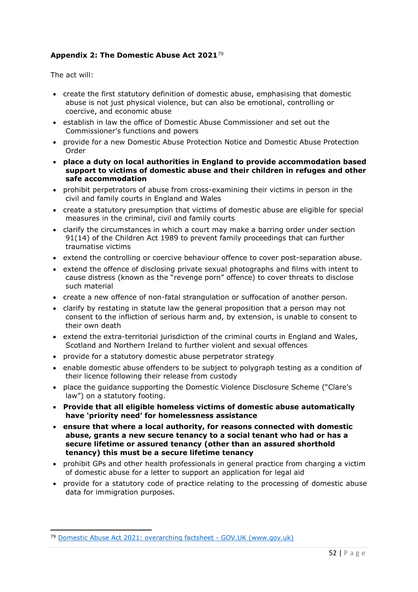# **Appendix 2: The Domestic Abuse Act 2021**<sup>79</sup>

The act will:

- create the first statutory definition of domestic abuse, emphasising that domestic abuse is not just physical violence, but can also be emotional, controlling or coercive, and economic abuse
- establish in law the office of Domestic Abuse Commissioner and set out the Commissioner's functions and powers
- provide for a new Domestic Abuse Protection Notice and Domestic Abuse Protection Order
- **place a duty on local authorities in England to provide accommodation based support to victims of domestic abuse and their children in refuges and other safe accommodation**
- prohibit perpetrators of abuse from cross-examining their victims in person in the civil and family courts in England and Wales
- create a statutory presumption that victims of domestic abuse are eligible for special measures in the criminal, civil and family courts
- clarify the circumstances in which a court may make a barring order under section 91(14) of the Children Act 1989 to prevent family proceedings that can further traumatise victims
- extend the controlling or coercive behaviour offence to cover post-separation abuse.
- extend the offence of disclosing private sexual photographs and films with intent to cause distress (known as the "revenge porn" offence) to cover threats to disclose such material
- create a new offence of non-fatal strangulation or suffocation of another person.
- clarify by restating in statute law the general proposition that a person may not consent to the infliction of serious harm and, by extension, is unable to consent to their own death
- extend the extra-territorial jurisdiction of the criminal courts in England and Wales, Scotland and Northern Ireland to further violent and sexual offences
- provide for a statutory domestic abuse perpetrator strategy
- enable domestic abuse offenders to be subject to polygraph testing as a condition of their licence following their release from custody
- place the guidance supporting the Domestic Violence Disclosure Scheme ("Clare's law") on a statutory footing.
- **Provide that all eligible homeless victims of domestic abuse automatically have 'priority need' for homelessness assistance**
- **ensure that where a local authority, for reasons connected with domestic abuse, grants a new secure tenancy to a social tenant who had or has a secure lifetime or assured tenancy (other than an assured shorthold tenancy) this must be a secure lifetime tenancy**
- prohibit GPs and other health professionals in general practice from charging a victim of domestic abuse for a letter to support an application for legal aid
- provide for a statutory code of practice relating to the processing of domestic abuse data for immigration purposes.

<sup>79</sup> [Domestic Abuse Act 2021: overarching factsheet -](https://www.gov.uk/government/publications/domestic-abuse-bill-2020-factsheets/domestic-abuse-bill-2020-overarching-factsheet) GOV.UK (www.gov.uk)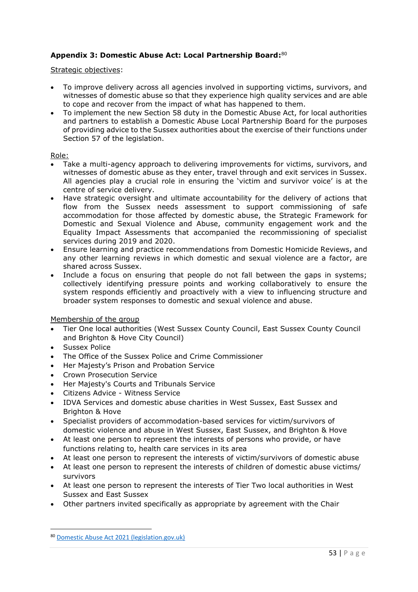# **Appendix 3: Domestic Abuse Act: Local Partnership Board:** 80

Strategic objectives:

- To improve delivery across all agencies involved in supporting victims, survivors, and witnesses of domestic abuse so that they experience high quality services and are able to cope and recover from the impact of what has happened to them.
- To implement the new Section 58 duty in the Domestic Abuse Act, for local authorities and partners to establish a Domestic Abuse Local Partnership Board for the purposes of providing advice to the Sussex authorities about the exercise of their functions under Section 57 of the legislation.

# Role:

- Take a multi-agency approach to delivering improvements for victims, survivors, and witnesses of domestic abuse as they enter, travel through and exit services in Sussex. All agencies play a crucial role in ensuring the 'victim and survivor voice' is at the centre of service delivery.
- Have strategic oversight and ultimate accountability for the delivery of actions that flow from the Sussex needs assessment to support commissioning of safe accommodation for those affected by domestic abuse, the Strategic Framework for Domestic and Sexual Violence and Abuse, community engagement work and the Equality Impact Assessments that accompanied the recommissioning of specialist services during 2019 and 2020.
- Ensure learning and practice recommendations from Domestic Homicide Reviews, and any other learning reviews in which domestic and sexual violence are a factor, are shared across Sussex.
- Include a focus on ensuring that people do not fall between the gaps in systems; collectively identifying pressure points and working collaboratively to ensure the system responds efficiently and proactively with a view to influencing structure and broader system responses to domestic and sexual violence and abuse.

Membership of the group

- Tier One local authorities (West Sussex County Council, East Sussex County Council and Brighton & Hove City Council)
- Sussex Police
- The Office of the Sussex Police and Crime Commissioner
- Her Majesty's Prison and Probation Service
- Crown Prosecution Service
- Her Majesty's Courts and Tribunals Service
- Citizens Advice Witness Service
- IDVA Services and domestic abuse charities in West Sussex, East Sussex and Brighton & Hove
- Specialist providers of accommodation-based services for victim/survivors of domestic violence and abuse in West Sussex, East Sussex, and Brighton & Hove
- At least one person to represent the interests of persons who provide, or have functions relating to, health care services in its area
- At least one person to represent the interests of victim/survivors of domestic abuse
- At least one person to represent the interests of children of domestic abuse victims/ survivors
- At least one person to represent the interests of Tier Two local authorities in West Sussex and East Sussex
- Other partners invited specifically as appropriate by agreement with the Chair

<sup>80</sup> [Domestic Abuse Act 2021 \(legislation.gov.uk\)](https://www.legislation.gov.uk/ukpga/2021/17/part/4/enacted)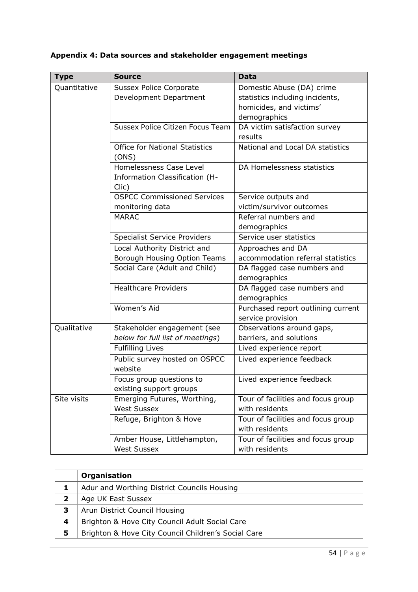| <b>Type</b>  | <b>Source</b>                           | <b>Data</b>                        |
|--------------|-----------------------------------------|------------------------------------|
| Quantitative | <b>Sussex Police Corporate</b>          | Domestic Abuse (DA) crime          |
|              | Development Department                  | statistics including incidents,    |
|              |                                         | homicides, and victims'            |
|              |                                         | demographics                       |
|              | <b>Sussex Police Citizen Focus Team</b> | DA victim satisfaction survey      |
|              |                                         | results                            |
|              | <b>Office for National Statistics</b>   | National and Local DA statistics   |
|              | (ONS)                                   |                                    |
|              | Homelessness Case Level                 | DA Homelessness statistics         |
|              | Information Classification (H-          |                                    |
|              | Clic)                                   |                                    |
|              | <b>OSPCC Commissioned Services</b>      | Service outputs and                |
|              | monitoring data                         | victim/survivor outcomes           |
|              | <b>MARAC</b>                            | Referral numbers and               |
|              |                                         | demographics                       |
|              | <b>Specialist Service Providers</b>     | Service user statistics            |
|              | Local Authority District and            | Approaches and DA                  |
|              | Borough Housing Option Teams            | accommodation referral statistics  |
|              | Social Care (Adult and Child)           | DA flagged case numbers and        |
|              |                                         | demographics                       |
|              | <b>Healthcare Providers</b>             | DA flagged case numbers and        |
|              |                                         | demographics                       |
|              | Women's Aid                             | Purchased report outlining current |
|              |                                         | service provision                  |
| Qualitative  | Stakeholder engagement (see             | Observations around gaps,          |
|              | below for full list of meetings)        | barriers, and solutions            |
|              | <b>Fulfilling Lives</b>                 | Lived experience report            |
|              | Public survey hosted on OSPCC           | Lived experience feedback          |
|              | website                                 |                                    |
|              | Focus group questions to                | Lived experience feedback          |
|              | existing support groups                 |                                    |
| Site visits  | Emerging Futures, Worthing,             | Tour of facilities and focus group |
|              | <b>West Sussex</b>                      | with residents                     |
|              | Refuge, Brighton & Hove                 | Tour of facilities and focus group |
|              |                                         | with residents                     |
|              | Amber House, Littlehampton,             | Tour of facilities and focus group |
|              | <b>West Sussex</b>                      | with residents                     |

# **Appendix 4: Data sources and stakeholder engagement meetings**

|   | Organisation                                        |
|---|-----------------------------------------------------|
|   | Adur and Worthing District Councils Housing         |
|   | Age UK East Sussex                                  |
| З | Arun District Council Housing                       |
| 4 | Brighton & Hove City Council Adult Social Care      |
| 5 | Brighton & Hove City Council Children's Social Care |
|   |                                                     |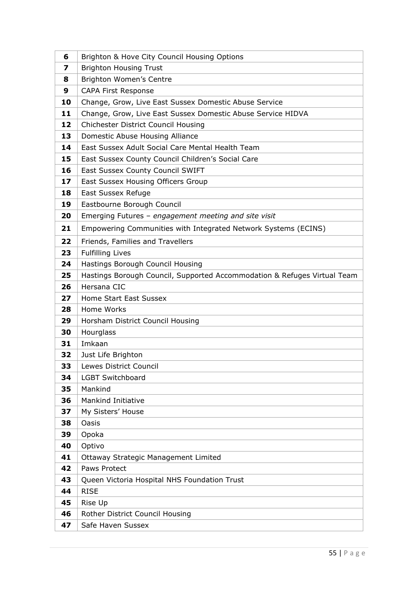| 6               | Brighton & Hove City Council Housing Options                             |
|-----------------|--------------------------------------------------------------------------|
| 7               | <b>Brighton Housing Trust</b>                                            |
| 8               | Brighton Women's Centre                                                  |
| 9               | <b>CAPA First Response</b>                                               |
| 10              | Change, Grow, Live East Sussex Domestic Abuse Service                    |
| 11              | Change, Grow, Live East Sussex Domestic Abuse Service HIDVA              |
| 12              | Chichester District Council Housing                                      |
| 13              | Domestic Abuse Housing Alliance                                          |
| 14              | East Sussex Adult Social Care Mental Health Team                         |
| 15              | East Sussex County Council Children's Social Care                        |
| 16              | East Sussex County Council SWIFT                                         |
| 17 <sub>2</sub> | East Sussex Housing Officers Group                                       |
| 18              | East Sussex Refuge                                                       |
| 19              | Eastbourne Borough Council                                               |
| 20              | Emerging Futures - engagement meeting and site visit                     |
| 21              | Empowering Communities with Integrated Network Systems (ECINS)           |
| 22              | Friends, Families and Travellers                                         |
| 23              | <b>Fulfilling Lives</b>                                                  |
| 24              | Hastings Borough Council Housing                                         |
| 25              | Hastings Borough Council, Supported Accommodation & Refuges Virtual Team |
| 26              | Hersana CIC                                                              |
| 27              | Home Start East Sussex                                                   |
| 28              | Home Works                                                               |
| 29              | Horsham District Council Housing                                         |
| 30              | Hourglass                                                                |
| 31              | Imkaan                                                                   |
| 32              | Just Life Brighton                                                       |
| 33              | Lewes District Council                                                   |
| 34              | <b>LGBT Switchboard</b>                                                  |
| 35              | Mankind                                                                  |
| 36              | <b>Mankind Initiative</b>                                                |
| 37              | My Sisters' House                                                        |
| 38              | Oasis                                                                    |
| 39              | Opoka                                                                    |
| 40              | Optivo                                                                   |
| 41              | Ottaway Strategic Management Limited                                     |
| 42              | Paws Protect                                                             |
| 43              | Queen Victoria Hospital NHS Foundation Trust                             |
| 44              | <b>RISE</b>                                                              |
| 45              | Rise Up                                                                  |
|                 |                                                                          |
| 46<br>47        | Rother District Council Housing<br>Safe Haven Sussex                     |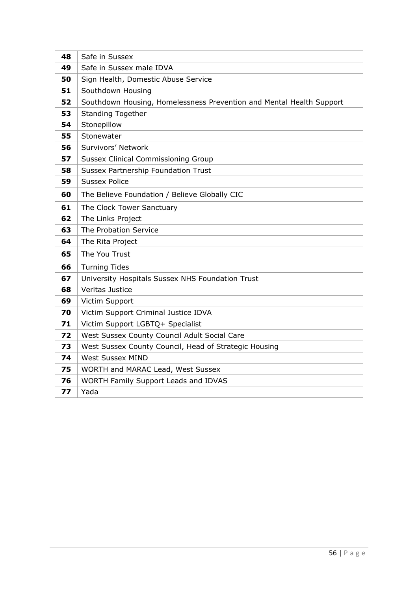| 48 | Safe in Sussex                                                       |
|----|----------------------------------------------------------------------|
| 49 | Safe in Sussex male IDVA                                             |
| 50 | Sign Health, Domestic Abuse Service                                  |
| 51 | Southdown Housing                                                    |
| 52 | Southdown Housing, Homelessness Prevention and Mental Health Support |
| 53 | <b>Standing Together</b>                                             |
| 54 | Stonepillow                                                          |
| 55 | Stonewater                                                           |
| 56 | Survivors' Network                                                   |
| 57 | <b>Sussex Clinical Commissioning Group</b>                           |
| 58 | Sussex Partnership Foundation Trust                                  |
| 59 | <b>Sussex Police</b>                                                 |
| 60 | The Believe Foundation / Believe Globally CIC                        |
| 61 | The Clock Tower Sanctuary                                            |
| 62 | The Links Project                                                    |
| 63 | The Probation Service                                                |
| 64 | The Rita Project                                                     |
| 65 | The You Trust                                                        |
| 66 | <b>Turning Tides</b>                                                 |
| 67 | University Hospitals Sussex NHS Foundation Trust                     |
| 68 | Veritas Justice                                                      |
| 69 | Victim Support                                                       |
| 70 | Victim Support Criminal Justice IDVA                                 |
| 71 | Victim Support LGBTQ+ Specialist                                     |
| 72 | West Sussex County Council Adult Social Care                         |
| 73 | West Sussex County Council, Head of Strategic Housing                |
| 74 | <b>West Sussex MIND</b>                                              |
| 75 | WORTH and MARAC Lead, West Sussex                                    |
| 76 | WORTH Family Support Leads and IDVAS                                 |
| 77 | Yada                                                                 |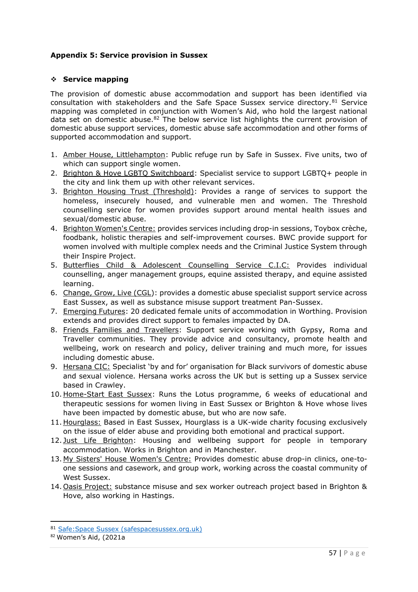# **Appendix 5: Service provision in Sussex**

# ❖ **Service mapping**

The provision of domestic abuse accommodation and support has been identified via consultation with stakeholders and the Safe Space Sussex service directory.<sup>81</sup> Service mapping was completed in conjunction with Women's Aid, who hold the largest national data set on domestic abuse.<sup>82</sup> The below service list highlights the current provision of domestic abuse support services, domestic abuse safe accommodation and other forms of supported accommodation and support.

- 1. Amber House, Littlehampton: Public refuge run by Safe in Sussex. Five units, two of which can support single women.
- 2. Brighton & Hove LGBTQ Switchboard: Specialist service to support LGBTQ+ people in the city and link them up with other relevant services.
- 3. Brighton Housing Trust (Threshold): Provides a range of services to support the homeless, insecurely housed, and vulnerable men and women. The Threshold counselling service for women provides support around mental health issues and sexual/domestic abuse.
- 4. Brighton Women's Centre: provides services including drop-in sessions, Toybox crèche, foodbank, holistic therapies and self-improvement courses. BWC provide support for women involved with multiple complex needs and the Criminal Justice System through their Inspire Project.
- 5. Butterflies Child & Adolescent Counselling Service C.I.C: Provides individual counselling, anger management groups, equine assisted therapy, and equine assisted learning.
- 6. Change, Grow, Live (CGL): provides a domestic abuse specialist support service across East Sussex, as well as substance misuse support treatment Pan-Sussex.
- 7. Emerging Futures: 20 dedicated female units of accommodation in Worthing. Provision extends and provides direct support to females impacted by DA.
- 8. Friends Families and Travellers: Support service working with Gypsy, Roma and Traveller communities. They provide advice and consultancy, promote health and wellbeing, work on research and policy, deliver training and much more, for issues including domestic abuse.
- 9. Hersana CIC: Specialist 'by and for' organisation for Black survivors of domestic abuse and sexual violence. Hersana works across the UK but is setting up a Sussex service based in Crawley.
- 10. Home-Start East Sussex: Runs the Lotus programme, 6 weeks of educational and therapeutic sessions for women living in East Sussex or Brighton & Hove whose lives have been impacted by domestic abuse, but who are now safe.
- 11. Hourglass: Based in East Sussex, Hourglass is a UK-wide charity focusing exclusively on the issue of elder abuse and providing both emotional and practical support.
- 12. Just Life Brighton: Housing and wellbeing support for people in temporary accommodation. Works in Brighton and in Manchester.
- 13. My Sisters' House Women's Centre: Provides domestic abuse drop-in clinics, one-toone sessions and casework, and group work, working across the coastal community of West Sussex.
- 14. Oasis Project: substance misuse and sex worker outreach project based in Brighton & Hove, also working in Hastings.

<sup>81</sup> Safe: Space Sussex (safespacesussex.org.uk)

<sup>82</sup> Women's Aid, (2021a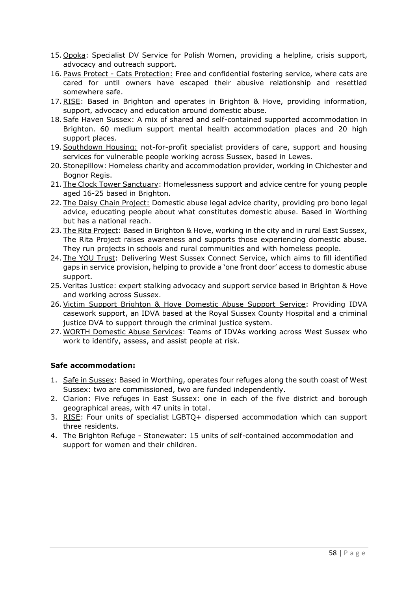- 15. Opoka: Specialist DV Service for Polish Women, providing a helpline, crisis support, advocacy and outreach support.
- 16. Paws Protect Cats Protection: Free and confidential fostering service, where cats are cared for until owners have escaped their abusive relationship and resettled somewhere safe.
- 17. RISE: Based in Brighton and operates in Brighton & Hove, providing information, support, advocacy and education around domestic abuse.
- 18. Safe Haven Sussex: A mix of shared and self-contained supported accommodation in Brighton. 60 medium support mental health accommodation places and 20 high support places.
- 19. Southdown Housing: not-for-profit specialist providers of care, support and housing services for vulnerable people working across Sussex, based in Lewes.
- 20.Stonepillow: Homeless charity and accommodation provider, working in Chichester and Bognor Regis.
- 21. The Clock Tower Sanctuary: Homelessness support and advice centre for young people aged 16-25 based in Brighton.
- 22. The Daisy Chain Project: Domestic abuse legal advice charity, providing pro bono legal advice, educating people about what constitutes domestic abuse. Based in Worthing but has a national reach.
- 23. The Rita Project: Based in Brighton & Hove, working in the city and in rural East Sussex, The Rita Project raises awareness and supports those experiencing domestic abuse. They run projects in schools and rural communities and with homeless people.
- 24. The YOU Trust: Delivering West Sussex Connect Service, which aims to fill identified gaps in service provision, helping to provide a 'one front door' access to domestic abuse support.
- 25.Veritas Justice: expert stalking advocacy and support service based in Brighton & Hove and working across Sussex.
- 26.Victim Support Brighton & Hove Domestic Abuse Support Service: Providing IDVA casework support, an IDVA based at the Royal Sussex County Hospital and a criminal justice DVA to support through the criminal justice system.
- 27. WORTH Domestic Abuse Services: Teams of IDVAs working across West Sussex who work to identify, assess, and assist people at risk.

# **Safe accommodation:**

- 1. Safe in Sussex: Based in Worthing, operates four refuges along the south coast of West Sussex: two are commissioned, two are funded independently.
- 2. Clarion: Five refuges in East Sussex: one in each of the five district and borough geographical areas, with 47 units in total.
- 3. RISE: Four units of specialist LGBTQ+ dispersed accommodation which can support three residents.
- 4. The Brighton Refuge Stonewater: 15 units of self-contained accommodation and support for women and their children.